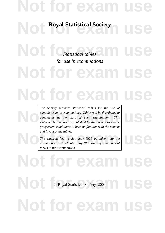## Not for exam us

**Royal Statistical Society** 

Not for exatistical tables<sup>2</sup> muse *for use in examinations*

**Not for exa Not for exam** 

*Candidates in its examinations. Tables will be distributed to*<br>candidates at the start of each examination. This<br>watermarked version is published by the Society to enable *The Society provides statistical tables for the use of candidates in its examinations. Tables will be distributed to candidates at the start of each examination. This watermarked version is published by the Society to enable prospective candidates to become familiar with the content and layout of the tables.*

and layout of the tables.<br>The watermarked version may NOT be taken into the<br>examinations. Candidates may NOT use any other sets of *The watermarked version may NOT be taken into the examinations. Candidates may NOT use any other sets of tables in the examinations.*

**Not for exam users O Royal Statistical Society 2004** of for exa © Royal Statistical Society 2004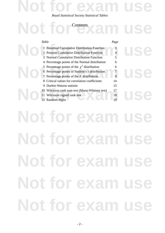#### *Royal Statistical Society Statistical Tables*

**Not for exam use**

#### **Contents**

| Contents                                          |      |  |
|---------------------------------------------------|------|--|
| Table                                             | Page |  |
| <b>Binomial Cumulative Distribution Function</b>  |      |  |
| <b>Poisson Cumulative Distribution Function</b>   |      |  |
| Normal Cumulative Distribution Function<br>3      | 5    |  |
| 4 Percentage points of the Normal distribution    | 6    |  |
| 5 Percentage points of the $\chi^2$ distribution  | 6    |  |
| 6 Percentage points of Student's $t$ distribution |      |  |
| 7 Percentage points of the $F$ distribution       | 8    |  |
| Critical values for correlation coefficients<br>8 | 14   |  |
| Durbin-Watson statistic<br>9                      | 15   |  |
| Wilcoxon rank sum test (Mann-Whitney test)<br>10  | 17   |  |
| Wilcoxon signed rank test<br>11                   | 18   |  |
| Random digits                                     | 18   |  |

# **Not for exam use Not for exam use Not for exam use Not for exam use Not for exam use**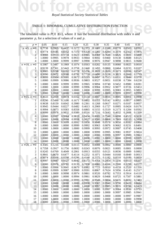

*Royal Statistical Society Statistical Tables*

#### TABLE 1: BINOMIAL CUMULATIVE DISTRIBUTION FUNCTION

TABLE 1: BINOMIAL CUMULATIVE DISTRIBUTION FUNCTION<br>The tabulated value is  $P(X \le x)$ , where *X* has the binomial distribution with index *n* and parameter *p*, for a selection of values of *n* and *p*.

| $p =$              | 0.05   | 0.10   | 0.15   | 0.20   | 0.25   | 0.30   | 0.35   | 0.40   | 0.45   | 0.50   |
|--------------------|--------|--------|--------|--------|--------|--------|--------|--------|--------|--------|
| $n = 5, x = 0$     | 0.7738 | 0.5905 | 0.4437 | 0.3277 | 0.2373 | 0.1681 | 0.1160 | 0.0778 | 0.0503 | 0.0312 |
| 1                  | 0.9774 | 0.9185 | 0.8352 | 0.7373 | 0.6328 | 0.5282 | 0.4284 | 0.3370 | 0.2562 | 0.1875 |
| $\overline{2}$     | 0.9988 | 0.9914 | 0.9734 | 0.9421 | 0.8965 | 0.8369 | 0.7648 | 0.6826 | 0.5931 | 0.5000 |
| 3                  | 1.0000 | 0.9995 | 0.9978 | 0.9933 | 0.9844 | 0.9692 | 0.9460 | 0.9130 | 0.8688 | 0.8125 |
| 4                  | 1.0000 | 1.0000 | 0.9999 | 0.9997 | 0.9990 | 0.9976 | 0.9947 | 0.9898 | 0.9815 | 0.9688 |
| $n = 10$ , $x = 0$ | 0.5987 | 0.3487 | 0.1969 | 0.1074 | 0.0563 | 0.0282 | 0.0135 | 0.0060 | 0.0025 | 0.0010 |
|                    |        |        |        |        |        |        |        |        |        |        |
| 1                  | 0.9139 | 0.7361 | 0.5443 | 0.3758 | 0.2440 | 0.1493 | 0.0860 | 0.0464 | 0.0233 | 0.0107 |
| $\overline{c}$     | 0.9885 | 0.9298 | 0.8202 | 0.6778 | 0.5256 | 0.3828 | 0.2616 | 0.1673 | 0.0996 | 0.0547 |
| 3                  | 0.9990 | 0.9872 | 0.9500 | 0.8791 | 0.7759 | 0.6496 | 0.5138 | 0.3823 | 0.2660 | 0.1719 |
| $\overline{4}$     | 0.9999 | 0.9984 | 0.9901 | 0.9672 | 0.9219 | 0.8497 | 0.7515 | 0.6331 | 0.5044 | 0.3770 |
| 5                  | 1.0000 | 0.9999 | 0.9986 | 0.9936 | 0.9803 | 0.9527 | 0.9051 | 0.8338 | 0.7384 | 0.6230 |
| 6                  | 1.0000 | 1.0000 | 0.9999 | 0.9991 | 0.9965 | 0.9894 | 0.9740 | 0.9452 | 0.8980 | 0.8281 |
| 7                  | 1.0000 | 1.0000 | 1.0000 | 0.9999 | 0.9996 | 0.9984 | 0.9952 | 0.9877 | 0.9726 | 0.9453 |
| 8                  | 1.0000 | 1.0000 | 1.0000 | 1.0000 | 1.0000 | 0.9999 | 0.9995 | 0.9983 | 0.9955 | 0.9893 |
| 9                  | 1.0000 | 1.0000 | 1.0000 | 1.0000 | 1.0000 | 1.0000 | 1.0000 | 0.9999 | 0.9997 | 0.9990 |
| $n = 15, x = 0$    | 0.4633 | 0.2059 | 0.0874 | 0.0352 | 0.0134 | 0.0047 | 0.0016 | 0.0005 | 0.0001 | 0.0000 |
| 1                  | 0.8290 | 0.5490 | 0.3186 | 0.1671 | 0.0802 | 0.0353 | 0.0142 | 0.0052 | 0.0017 | 0.0005 |
| $\overline{c}$     | 0.9638 | 0.8159 | 0.6042 | 0.3980 | 0.2361 | 0.1268 | 0.0617 | 0.0271 | 0.0107 | 0.0037 |
| 3                  | 0.9945 | 0.9444 | 0.8227 | 0.6482 | 0.4613 | 0.2969 | 0.1727 | 0.0905 | 0.0424 | 0.0176 |
| 4                  | 0.9994 | 0.9873 | 0.9383 | 0.8358 | 0.6865 | 0.5155 | 0.3519 | 0.2173 | 0.1204 | 0.0592 |
| 5                  | 0.9999 | 0.9978 | 0.9832 | 0.9389 | 0.8516 | 0.7216 | 0.5643 | 0.4032 | 0.2608 | 0.1509 |
| 6                  | 1.0000 | 0.9997 | 0.9964 | 0.9819 | 0.9434 | 0.8689 | 0.7548 | 0.6098 | 0.4522 | 0.3036 |
| 7                  | 1.0000 | 1.0000 | 0.9994 | 0.9958 | 0.9827 | 0.9500 | 0.8868 | 0.7869 | 0.6535 | 0.5000 |
| 8                  | 1.0000 | 1.0000 | 0.9999 | 0.9992 | 0.9958 | 0.9848 | 0.9578 | 0.9050 | 0.8182 | 0.6964 |
| 9                  | 1.0000 | 1.0000 | 1.0000 | 0.9999 | 0.9992 | 0.9963 | 0.9876 | 0.9662 | 0.9231 | 0.8491 |
| 10                 | 1.0000 | 1.0000 | 1.0000 | 1.0000 | 0.9999 | 0.9993 | 0.9972 | 0.9907 | 0.9745 | 0.9408 |
|                    |        |        |        |        |        |        |        |        |        |        |
| 11                 | 1.0000 | 1.0000 | 1.0000 | 1.0000 | 1.0000 | 0.9999 | 0.9995 | 0.9981 | 0.9937 | 0.9824 |
| 12                 | 1.0000 | 1.0000 | 1.0000 | 1.0000 | 1.0000 | 1.0000 | 0.9999 | 0.9997 | 0.9989 | 0.9963 |
| 13                 | 1.0000 | 1.0000 | 1.0000 | 1.0000 | 1.0000 | 1.0000 | 1.0000 | 1.0000 | 0.9999 | 0.9995 |
| 14                 | 1.0000 | 1.0000 | 1.0000 | 1.0000 | 1.0000 | 1.0000 | 1.0000 | 1.0000 | 1.0000 | 1.0000 |
| $n = 20, x = 0$    | 0.3585 | 0.1216 | 0.0388 | 0.0115 | 0.0032 | 0.0008 | 0.0002 | 0.0000 | 0.0000 | 0.0000 |
| 1                  | 0.7358 | 0.3917 | 0.1756 | 0.0692 | 0.0243 | 0.0076 | 0.0021 | 0.0005 | 0.0001 | 0.0000 |
| $\overline{2}$     | 0.9245 | 0.6769 | 0.4049 | 0.2061 | 0.0913 | 0.0355 | 0.0121 | 0.0036 | 0.0009 | 0.0002 |
| 3                  | 0.9841 | 0.8670 | 0.6477 | 0.4114 | 0.2252 | 0.1071 | 0.0444 | 0.0160 | 0.0049 | 0.0013 |
| $\overline{4}$     | 0.9974 | 0.9568 | 0.8298 | 0.6296 | 0.4148 | 0.2375 | 0.1182 | 0.0510 | 0.0189 | 0.0059 |
| 5                  | 0.9997 | 0.9887 | 0.9327 | 0.8042 | 0.6172 | 0.4164 | 0.2454 | 0.1256 | 0.0553 | 0.0207 |
| 6                  | 1.0000 | 0.9976 | 0.9781 | 0.9133 | 0.7858 | 0.6080 | 0.4166 | 0.2500 | 0.1299 | 0.0577 |
| 7                  | 1.0000 | 0.9996 | 0.9941 | 0.9679 | 0.8982 | 0.7723 | 0.6010 | 0.4159 | 0.2520 | 0.1316 |
| 8                  | 1.0000 | 0.9999 | 0.9987 | 0.9900 | 0.9591 | 0.8867 | 0.7624 | 0.5956 | 0.4143 | 0.2517 |
| 9                  | 1.0000 | 1.0000 | 0.9998 | 0.9974 | 0.9861 | 0.9520 | 0.8782 | 0.7553 | 0.5914 | 0.4119 |
| 10                 | 1.0000 | 1.0000 | 1.0000 | 0.9994 | 0.9961 | 0.9829 | 0.9468 | 0.8725 | 0.7507 | 0.5881 |
| 11                 | 1.0000 | 1.0000 | 1.0000 | 0.9999 | 0.9991 | 0.9949 | 0.9804 | 0.9435 | 0.8692 | 0.7483 |
| 12                 | 1.0000 | 1.0000 | 1.0000 | 1.0000 | 0.9998 | 0.9987 | 0.9940 | 0.9790 | 0.9420 | 0.8684 |
| 13                 | 1.0000 | 1.0000 | 1.0000 | 1.0000 | 1.0000 | 0.9997 | 0.9985 | 0.9935 | 0.9786 | 0.9423 |
| 14                 | 1.0000 | 1.0000 | 1.0000 | 1.0000 | 1.0000 | 1.0000 | 0.9997 | 0.9984 | 0.9936 | 0.9793 |
| 15                 | 1.0000 | 1.0000 | 1.0000 | 1.0000 | 1.0000 | 1.0000 | 1.0000 | 0.9997 | 0.9985 | 0.9941 |
|                    |        |        |        |        |        |        |        |        |        |        |
| 16                 | 1.0000 | 1.0000 | 1.0000 | 1.0000 | 1.0000 | 1.0000 | 1.0000 | 1.0000 | 0.9997 | 0.9987 |
| 17                 | 1.0000 | 1.0000 | 1.0000 | 1.0000 | 1.0000 | 1.0000 | 1.0000 | 1.0000 | 1.0000 | 0.9998 |
| 18                 | 1.0000 | 1.0000 | 1.0000 | 1.0000 | 1.0000 | 1.0000 | 1.0000 | 1.0000 | 1.0000 | 1.0000 |
|                    |        |        |        |        |        |        |        |        |        |        |
|                    |        |        |        |        |        |        |        |        |        |        |
|                    |        |        |        |        |        |        |        |        |        |        |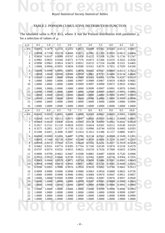

### TABLE 2: POISSON CUMULATIVE DISTRIBUTION FUNCTION

TABLE 2: POISSON CUMULATIVE DISTRIBUTION FUNCTION<br>The tabulated value is  $P(X \le x)$ , where *X* has the Poisson distribution with parameter  $\mu$ , for a selection of values of  $\mu$ .

| $\mu =$          | 0.5    | 1.0     | 1.5    | 2.0    | 2.5    | 3.0    | 3.5    | 4.0    | 4.5    | 5.0    |
|------------------|--------|---------|--------|--------|--------|--------|--------|--------|--------|--------|
| $x = 0$          | 0.6065 | 0.3679  | 0.2231 | 0.1353 | 0.0821 | 0.0498 | 0.0302 | 0.0183 | 0.0111 | 0.0067 |
| 1                | 0.9098 | 0.7358  | 0.5578 | 0.4060 | 0.2873 | 0.1991 | 0.1359 | 0.0916 | 0.0611 | 0.0404 |
| $\overline{c}$   | 0.9856 | 0.9197  | 0.8088 | 0.6767 | 0.5438 | 0.4232 | 0.3208 | 0.2381 | 0.1736 | 0.1247 |
| 3                | 0.9982 | 0.9810  | 0.9344 | 0.8571 | 0.7576 | 0.6472 | 0.5366 | 0.4335 | 0.3423 | 0.2650 |
| 4                | 0.9998 | 0.9963  | 0.9814 | 0.9473 | 0.8912 | 0.8153 | 0.7254 | 0.6288 | 0.5321 | 0.4405 |
| 5                | 1.0000 | 0.9994  | 0.9955 | 0.9834 | 0.9580 | 0.9161 | 0.8576 | 0.7851 | 0.7029 | 0.6160 |
| 6                | 1.0000 | 0.9999  | 0.9991 | 0.9955 | 0.9858 | 0.9665 | 0.9347 | 0.8893 | 0.8311 | 0.7622 |
| $\overline{7}$   | 1.0000 | 1.0000  | 0.9998 | 0.9989 | 0.9958 | 0.9881 | 0.9733 | 0.9489 | 0.9134 | 0.8666 |
| 8                | 1.0000 | 1.0000  | 1.0000 | 0.9998 | 0.9989 | 0.9962 | 0.9901 | 0.9786 | 0.9597 | 0.9319 |
| 9                | 1.0000 | 1.0000  | 1.0000 | 1.0000 | 0.9997 | 0.9989 | 0.9967 | 0.9919 | 0.9829 | 0.9682 |
| 10               | 1.0000 | 1.0000  | 1.0000 | 1.0000 | 0.9999 | 0.9997 | 0.9990 | 0.9972 | 0.9933 | 0.9863 |
| 11               | 1.0000 | 1.0000  | 1.0000 | 1.0000 | 1.0000 | 0.9999 | 0.9997 | 0.9991 | 0.9976 | 0.9945 |
| 12               | 1.0000 | 1.0000  | 1.0000 | 1.0000 | 1.0000 | 1.0000 | 0.9999 | 0.9997 | 0.9992 | 0.9980 |
| 13               | 1.0000 | 1.0000  | 1.0000 | 1.0000 | 1.0000 | 1.0000 | 1.0000 | 0.9999 | 0.9997 | 0.9993 |
| 14               | 1.0000 | 1.0000  | 1.0000 | 1.0000 | 1.0000 | 1.0000 | 1.0000 | 1.0000 | 0.9999 | 0.9998 |
| 15               | 1.0000 | 1.0000  | 1.0000 | 1.0000 | 1.0000 | 1.0000 | 1.0000 | 1.0000 | 1.0000 | 0.9999 |
| 16               | 1.0000 | 1.0000  | 1.0000 | 1.0000 | 1.0000 | 1.0000 | 1.0000 | 1.0000 | 1.0000 | 1.0000 |
| $\mu =$          | 5.5    | $6.0\,$ | 6.5    | 7.0    | 7.5    | 8.0    | 8.5    | 9.0    | 9.5    | 10.0   |
| $x=0$            | 0.0041 | 0.0025  | 0.0015 | 0.0009 | 0.0006 | 0.0003 | 0.0002 | 0.0001 | 0.0001 | 0.0000 |
| 1                | 0.0266 | 0.0174  | 0.0113 | 0.0073 | 0.0047 | 0.0030 | 0.0019 | 0.0012 | 0.0008 | 0.0005 |
| $\overline{c}$   | 0.0884 | 0.0620  | 0.0430 | 0.0296 | 0.0203 | 0.0138 | 0.0093 | 0.0062 | 0.0042 | 0.0028 |
| 3                | 0.2017 | 0.1512  | 0.1118 | 0.0818 | 0.0591 | 0.0424 | 0.0301 | 0.0212 | 0.0149 | 0.0103 |
| 4                | 0.3575 | 0.2851  | 0.2237 | 0.1730 | 0.1321 | 0.0996 | 0.0744 | 0.0550 | 0.0403 | 0.0293 |
| 5                | 0.5289 | 0.4457  | 0.3690 | 0.3007 | 0.2414 | 0.1912 | 0.1496 | 0.1157 | 0.0885 | 0.0671 |
| 6                | 0.6860 | 0.6063  | 0.5265 | 0.4497 | 0.3782 | 0.3134 | 0.2562 | 0.2068 | 0.1649 | 0.1301 |
| $\boldsymbol{7}$ | 0.8095 | 0.7440  | 0.6728 | 0.5987 | 0.5246 | 0.4530 | 0.3856 | 0.3239 | 0.2687 | 0.2202 |
| $\,$ 8 $\,$      | 0.8944 | 0.8472  | 0.7916 | 0.7291 | 0.6620 | 0.5925 | 0.5231 | 0.4557 | 0.3918 | 0.3328 |
| 9                | 0.9462 | 0.9161  | 0.8774 | 0.8305 | 0.7764 | 0.7166 | 0.6530 | 0.5874 | 0.5218 | 0.4579 |
| 10               | 0.9747 | 0.9574  | 0.9332 | 0.9015 | 0.8622 | 0.8159 | 0.7634 | 0.7060 | 0.6453 | 0.5830 |
| 11               | 0.9890 | 0.9799  | 0.9661 | 0.9467 | 0.9208 | 0.8881 | 0.8487 | 0.8030 | 0.7520 | 0.6968 |
| 12               | 0.9955 | 0.9912  | 0.9840 | 0.9730 | 0.9573 | 0.9362 | 0.9091 | 0.8758 | 0.8364 | 0.7916 |
| 13               | 0.9983 | 0.9964  | 0.9929 | 0.9872 | 0.9784 | 0.9658 | 0.9486 | 0.9261 | 0.8981 | 0.8645 |
| 14               | 0.9994 | 0.9986  | 0.9970 | 0.9943 | 0.9897 | 0.9827 | 0.9726 | 0.9585 | 0.9400 | 0.9165 |
| 15               | 0.9998 | 0.9995  | 0.9988 | 0.9976 | 0.9954 | 0.9918 | 0.9862 | 0.9780 | 0.9665 | 0.9513 |
| 16               | 0.9999 | 0.9998  | 0.9996 | 0.9990 | 0.9980 | 0.9963 | 0.9934 | 0.9889 | 0.9823 | 0.9730 |
| 17               | 1.0000 | 0.9999  | 0.9998 | 0.9996 | 0.9992 | 0.9984 | 0.9970 | 0.9947 | 0.9911 | 0.9857 |
| 18               | 1.0000 | 1.0000  | 0.9999 | 0.9999 | 0.9997 | 0.9993 | 0.9987 | 0.9976 | 0.9957 | 0.9928 |
| 19               | 1.0000 | 1.0000  | 1.0000 | 1.0000 | 0.9999 | 0.9997 | 0.9995 | 0.9989 | 0.9980 | 0.9965 |
| 20               | 1.0000 | 1.0000  | 1.0000 | 1.0000 | 1.0000 | 0.9999 | 0.9998 | 0.9996 | 0.9991 | 0.9984 |
| 21               | 1.0000 | 1.0000  | 1.0000 | 1.0000 | 1.0000 | 1.0000 | 0.9999 | 0.9998 | 0.9996 | 0.9993 |
| 22               | 1.0000 | 1.0000  | 1.0000 | 1.0000 | 1.0000 | 1.0000 | 1.0000 | 0.9999 | 0.9999 | 0.9997 |
| 23               | 1.0000 | 1.0000  | 1.0000 | 1.0000 | 1.0000 | 1.0000 | 1.0000 | 1.0000 | 0.9999 | 0.9999 |
|                  |        | 1.0000  | 1.0000 | 1.0000 | 1.0000 | 1.0000 | 1.0000 | 1.0000 | 1.0000 | 1.0000 |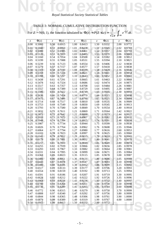*Royal Statistical Society Statistical Tables*

**Not for exam use**

### TABLE 3: NORMAL CUMULATIVE DISTRIBUTION FUNCTION

TABLE 3: NORMAL CUMULATIVE DISTRIBUTION FUNCTION<br>For  $Z \sim N(0, 1)$ , the function tabulated is  $\Phi(z) = P(Z \le z) = \frac{1}{\sqrt{2\pi}} \int_{-\infty}^{z} e^{-\frac{1}{2}t^2} dt$ . For  $Z \sim N(0, 1)$ , the function tabulated is  $\Phi(z) = P(Z \le z) =$  $rac{1}{\sqrt{2\pi}}\int_{-\infty}^{z}e^{-\frac{1}{2}t^2}dt.$ −∞  $e^{-\frac{1}{2}t^2}dt$ .

| $\Phi(z)$                        | $\Phi(z)$                        | $\Phi(z)$                        | $\Phi(z)$                        | $\Phi(z)$                        |
|----------------------------------|----------------------------------|----------------------------------|----------------------------------|----------------------------------|
| $\mathcal{Z}$                    | $\ensuremath{\mathnormal{Z}}$    | $\overline{z}$                   | $\ensuremath{\mathnormal{Z}}$    | $\mathcal{Z}$                    |
| 0.5000                           | 0.50                             | 1.00                             | 1.50                             | 2.00                             |
| 0.00                             | 0.6915                           | 0.8413                           | 0.9332                           | 0.9772                           |
| 0.5040                           | 0.51                             | 1.01                             | 1.51                             | 2.02                             |
| 0.01                             | 0.6950                           | 0.8438                           | 0.9345                           | 0.9783                           |
| 0.5080                           | 0.52                             | 1.02                             | 1.52                             | 0.9793                           |
| 0.02                             | 0.6985                           | 0.8461                           | 0.9357                           | 2.04                             |
| 0.03                             | 0.53                             | 1.03                             | 1.53                             | 0.9803                           |
| 0.5120                           | 0.7019                           | 0.8485                           | 0.9370                           | 2.06                             |
| 0.04                             | 0.54                             | 1.04                             | 1.54                             | 0.9812                           |
| 0.5160                           | 0.7054                           | 0.8508                           | 0.9382                           | 2.08                             |
| 0.05                             | 0.55                             | 1.05                             | 1.55                             | 2.10                             |
| 0.5199                           | 0.7088                           | 0.8531                           | 0.9394                           | 0.9821                           |
| 0.06                             | 0.56                             | 1.06                             | 1.56                             | 2.12                             |
| 0.5239                           | 0.7123                           | 0.8554                           | 0.9406                           | 0.9830                           |
| 0.5279                           | 0.7157                           | 0.8577                           | 1.57                             | 2.14                             |
| 0.07                             | 0.57                             | 1.07                             | 0.9418                           | 0.9838                           |
| 0.08                             | 0.58                             | 1.08                             | 1.58                             | 2.16                             |
| 0.5319                           | 0.7190                           | 0.8599                           | 0.9429                           | 0.9846                           |
| 0.5359                           | 0.59                             | 1.09                             | 1.59                             | 2.18                             |
| 0.09                             | 0.7224                           | 0.8621                           | 0.9441                           | 0.9854                           |
| 0.5398                           | 0.7257                           | 1.10                             | 1.60                             | 2.20                             |
| 0.10                             | 0.60                             | 0.8643                           | 0.9452                           | 0.9861                           |
| 0.5438                           | 0.7291                           | 1.11                             | 0.9463                           | 0.9868                           |
| 0.11                             | 0.61                             | 0.8665                           | 1.61                             | 2.22                             |
| 0.12                             | 0.62                             | 1.12                             | 1.62                             | 2.24                             |
| 0.5478                           | 0.7324                           | 0.8686                           | 0.9474                           | 0.9875                           |
| 0.5517                           | 0.63                             | 1.13                             | 1.63                             | 2.26                             |
| 0.13                             | 0.7357                           | 0.8708                           | 0.9484                           | 0.9881                           |
| 0.5557                           | 0.7389                           | 1.14                             | 1.64                             | 2.28                             |
| 0.14                             | 0.64                             | 0.8729                           | 0.9495                           | 0.9887                           |
| 0.5596                           | 0.65                             | 0.8749                           | 0.9505                           | 2.30                             |
| 0.15                             | 0.7422                           | 1.15                             | 1.65                             | 0.9893                           |
| 0.5636                           | 0.7454                           | 0.8770                           | 0.9515                           | 2.32                             |
| 0.16                             | 0.66                             | 1.16                             | 1.66                             | 0.9898                           |
| 0.17                             | 0.67                             | 0.8790                           | 1.67                             | 2.34                             |
| 0.5675                           | 0.7486                           | 1.17                             | 0.9525                           | 0.9904                           |
| 0.18                             | 0.68                             | 1.18                             | 1.68                             | 2.36                             |
| 0.5714                           | 0.7517                           | 0.8810                           | 0.9535                           | 0.9909                           |
| 0.19<br>0.5753<br>0.20           | 0.69<br>0.7549<br>0.7580         | 1.19<br>0.8830<br>1.20<br>0.8849 | 1.69<br>0.9545<br>1.70<br>0.9554 | 2.38<br>0.9913<br>0.9918         |
| 0.5793                           | 0.70                             |                                  |                                  | 2.40                             |
| 0.5832<br>0.21<br>0.5871         | 0.7611<br>0.71                   | 0.8869<br>1.21<br>$\sqrt{1.22}$  | 0.9564<br>1.71<br>0.9573         | 0.9922<br>2.42                   |
| 0.22<br>0.23<br>0.5910           | 0.72<br>0.7642<br>0.73<br>0.7673 | 0.8888<br>0.8907<br>1.23         | 1.72<br>1.73<br>0.9582           | 2.44<br>0.9927<br>0.9931<br>2.46 |
| 0.24                             | 0.74                             | 1.24                             | 1.74                             | 0.9934                           |
| 0.5948                           | 0.7704                           | 0.8925                           | 0.9591                           | 2.48                             |
| 0.25                             | 0.75                             | 1.25                             | 1.75                             | 2.50                             |
| 0.5987                           | 0.7734                           | 0.8944                           | 0.9599                           | 0.9938                           |
| 0.26                             | 0.76                             | 0.8962                           | 1.76                             | 0.9946                           |
| 0.6026                           | 0.7764                           | 1.26                             | 0.9608                           | 2.55                             |
| 0.27                             | 0.77                             | 1.27                             | 1.77                             | 2.60                             |
| 0.6064                           | 0.7794                           | 0.8980                           | 0.9616                           | 0.9953                           |
| 0.28                             | 0.78                             | 1.28                             | 1.78                             | 2.65                             |
| 0.6103                           | 0.7823                           | 0.8997                           | 0.9625                           | 0.9960                           |
| 0.29                             | 0.79                             | 1.29                             | 1.79                             | 2.70                             |
| 0.6141                           | 0.7852                           | 0.9015                           | 0.9633                           | 0.9965                           |
| 0.30                             | 0.80                             | 1.30                             | 1.80                             | 2.75                             |
| 0.6179                           | 0.7881                           | 0.9032                           | 0.9641                           | 0.9970                           |
| 0.31                             | 0.81                             | 1.31                             | 0.9649                           | 0.9974                           |
| 0.6217                           | 0.7910                           | 0.9049                           | 1.81                             | 2.80                             |
| 0.32                             | 0.82                             | 1.32                             | 1.82                             | 2.85                             |
| 0.6255                           | 0.7939                           | 0.9066                           | 0.9656                           | 0.9978                           |
| 0.33                             | 0.83                             | 1.33                             | 1.83                             | 2.90                             |
| 0.6293                           | 0.7967                           | 0.9082                           | 0.9664                           | 0.9981                           |
| 0.34                             | 0.84                             | 1.34                             | 1.84                             | 0.9984                           |
| 0.6331                           | 0.7995                           | 0.9099                           | 0.9671                           | 2.95                             |
| 0.35                             | 0.85                             | 1.35                             | 1.85                             | 3.00                             |
| 0.6368                           | 0.8023                           | 0.9115                           | 0.9678                           | 0.9987                           |
| 0.36                             | 0.86                             | 1.36                             | 1.86                             | 3.05                             |
| 0.6406                           | 0.8051                           | 0.9131                           | 0.9686                           | 0.9989                           |
| 0.37                             | 0.87                             | 1.37                             | 1.87                             | 3.10                             |
| 0.6443                           | 0.8078                           | 0.9147                           | 0.9693                           | 0.9990                           |
| 0.38                             | 0.88                             | 1.38                             | 1.88                             | 0.9992                           |
| 0.6480                           | 0.8106                           | 0.9162                           | 0.9699                           | 3.15                             |
| 0.39                             | 0.89                             | 1.39                             | 1.89                             | 3.20                             |
| 0.6517                           | 0.8133                           | 0.9177                           | 0.9706                           | 0.9993                           |
| 0.40                             | 0.90                             | 1.40                             | 1.90                             | 3.25                             |
| 0.6554                           | 0.8159                           | 0.9192                           | 0.9713                           | 0.9994                           |
| 0.41                             | 0.91                             | 1.41                             | 0.9719                           | 3.30                             |
| 0.6591                           | 0.8186                           | 0.9207                           | 1.91                             | 0.9995                           |
| 0.42                             | 0.92                             | 1.42                             | 1.92                             | 3.35                             |
| 0.6628                           | 0.8212                           | 0.9222                           | 0.9726                           | 0.9996                           |
| 0.43                             | 0.93                             | 1.43                             | 1.93                             | 3.40                             |
| 0.6664                           | 0.8238                           | 0.9236                           | 0.9732                           | 0.9997                           |
| 0.44                             | 0.94                             | 1.44                             | 1.94                             | 0.9998                           |
| 0.6700                           | 0.8264                           | 0.9251                           | 0.9738                           | 3.50                             |
| 0.45                             | 0.8289                           | 1.45                             | 1.95                             | 3.60                             |
| 0.6736                           | 0.95                             | 0.9265                           | 0.9744                           | 0.9998                           |
| 0.6772                           | 0.8315                           | 1.46                             | 1.96                             | 0.9999                           |
| 0.46                             | 0.96                             | 0.9279                           | 0.9750                           | 3.70                             |
| 0.6808                           | 0.97                             | 1.47                             | 1.97                             | 3.80                             |
| 0.47                             | 0.8340                           | 0.9292                           | 0.9756                           | 0.9999                           |
| 0.6844<br>0.48<br>0.49<br>0.6879 | 0.98<br>0.8365<br>0.99<br>0.8389 | 1.48<br>0.9306<br>1.49<br>0.9319 | 1.98<br>0.9761<br>1.99<br>0.9767 | 3.90<br>1.0000<br>4.00           |
| 0.50                             | 1.00                             | 1.50                             | 2.00                             | 1.0000                           |
| 0.6915                           | 0.8413                           | 0.9332                           | 0.9772                           |                                  |
|                                  |                                  |                                  |                                  |                                  |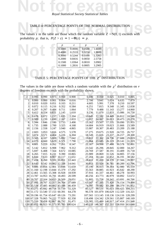

#### TABLE 4: PERCENTAGE POINTS OF THE NORMAL DISTRIBUTION

TABLE 4: PERCENTAGE POINTS OF THE NORMAL DISTRIBUTION<br>The values *z* in the table are those which the random variable  $Z \sim N(0, 1)$  exceeds with probability *p*; that is,  $P(Z > z) = 1 - \Phi(z) = p$ .

|        | ٠.     |        | ۸.     |
|--------|--------|--------|--------|
| 0.5000 | 0.0000 | 0.0500 | 1.6449 |
| 0.4000 | 0.2533 | 0.0250 | 1.9600 |
| 0.3000 | 0.5244 | 0.0100 | 2.3263 |
| 0.2000 | 0.8416 | 0.0050 | 2.5758 |
| 0.1500 | 1.0364 | 0.0010 | 3.0902 |
| 0.1000 | l.2816 | 0.0005 | 3.2905 |

# 0.1000 1.2816 0.0005 3.2905<br>TABLE 5: PERCENTAGE POINTS OF THE  $\chi^2$  DISTRIBUTION

The values in the table are those which a random variable with the  $\chi^2$  distribution on v degrees of freedom exceeds with the probability shown.

| V                        | 0.995                           | 0.990                       | 0.975               | 0.950        | 0.900                                   | 0.100  | 0.050                                   | 0.025  | 0.010                  | 0.005  |
|--------------------------|---------------------------------|-----------------------------|---------------------|--------------|-----------------------------------------|--------|-----------------------------------------|--------|------------------------|--------|
| $\overline{\phantom{a}}$ | 0.000                           | 0.000                       | 0.001               | 0.004        | 0.016                                   | 2.706  | 3.841                                   | 5.024  | 6.635                  | 7.879  |
| $\overline{c}$           | 0.010                           | 0.020                       | 0.051               | 0.103        | 0.211                                   | 4.605  | 5.991                                   | 7.378  | 9.210                  | 10.597 |
| 3                        | 0.072                           | 0.115                       | 0.216               | 0.352        | 0.584                                   | 6.251  | 7.815                                   | 9.348  | 11.345                 | 12.838 |
| $\overline{\mathcal{L}}$ | 0.207                           | 0.297                       | 0.484               | 0.711        | 1.064                                   | 7.779  | 9.488                                   | 11.143 | 13.277                 | 14.860 |
| 5                        | 0.412                           | 0.554                       | 0.831               | 1.145        | 1.610                                   | 9.236  | 11.070                                  | 12.833 | 15.086                 | 16.750 |
| 6                        | 0.676                           | 0.872                       | 1.237               | 1.635        | 2.204                                   | 10.645 | 12.592                                  | 14.449 | 16.812                 | 18.548 |
| 7                        | 0.989                           | 1.239                       | 1.690               | 2.167        | 2.833                                   | 12.017 | 14.067                                  | 16.013 | 18.475                 | 20.278 |
| 8                        | 1.344                           | 1.646                       | 2.180               | 2.733        | 3.490                                   | 13.362 | 15.507                                  | 17.535 | 20.090                 | 21.955 |
| 9                        | 1.735                           | 2.088                       | 2.700               | 3.325        | 4.168                                   | 14.684 | 16.919                                  | 19.023 | 21.666                 | 23.589 |
| 10                       | 2.156                           | 2.558                       | 3.247               | 3.940        | 4.865                                   | 15.987 | 18.307                                  | 20.483 | 23.209                 | 25.188 |
| 11                       | 2.603                           | 3.053                       | 3.816               | 4.575        | 5.578                                   | 17.275 | 19.675                                  | 21.920 | 24.725                 | 26.757 |
| 12                       | 3.074                           | 3.571                       | 4.404               | 5.226        | 6.304                                   | 18.549 | 21.026                                  | 23.337 | 26.217                 | 28.300 |
| 13                       | 3.565                           | 4.107                       | 5.009               | 5.892        | 7.042                                   | 19.812 | 22.362                                  | 24.736 | 27.688                 | 29.819 |
| 14                       | 4.075                           | 4.660                       | 5.629               | 6.571        | 7.790                                   | 21.064 | 23.685                                  | 26.119 | 29.141                 | 31.319 |
| 15                       | 4.601                           | 5.229                       | 6.262               | 7.261        | 8.547                                   | 22.307 | 24.996                                  | 27.488 | 30.578                 | 32.801 |
| 16                       | 5.142                           | 5.812                       | 6.908               | 7.962        | 9.312                                   | 23.542 | 26.296                                  | 28.845 | 32.000                 | 34.267 |
| 17                       | 5.697                           | 6.408                       | 7.564               | 8.672        | 10.085                                  | 24.769 | 27.587                                  | 30.191 | 33.409                 | 35.718 |
| 18                       | 6.265                           | 7.015                       | 8.231               | 9.390        | 10.865                                  | 25.989 | 28.869                                  | 31.526 | 34.805                 | 37.156 |
| 19                       | 6.844                           | 7.633                       |                     | 8.907 10.117 | 11.651                                  | 27.204 | 30.144                                  | 32.852 | 36.191                 | 38.582 |
| 20                       | 7.434                           | 8.260                       |                     | 9.591 10.851 | 12.443                                  | 28.412 | 31.410                                  | 34.170 | 37.566                 | 39.997 |
| 22                       | 8.643                           |                             | 9.542 10.982 12.338 |              | 14.041                                  | 30.813 | 33.924                                  | 36.781 | 40.289                 | 42.796 |
| 24                       |                                 | 9.886 10.856 12.401 13.848  |                     |              | 15.659                                  | 33.196 | 36.415                                  | 39.364 | 42.980                 | 45.559 |
| 26                       |                                 | 11.160 12.198 13.844 15.379 |                     |              | 17.292                                  | 35.563 | 38.885                                  | 41.923 | 45.642                 | 48.290 |
|                          | 28 12.461 13.565 15.308 16.928  |                             |                     |              | 18.939                                  | 37.916 | 41.337                                  | 44.461 | 48.278                 | 50.993 |
|                          | 30 13.787 14.953 16.791 18.493  |                             |                     |              | 20.599                                  | 40.256 | 43.773                                  | 46.979 | 50.892                 | 53.672 |
| 40                       |                                 | 20.707 22.164 24.433 26.509 |                     |              | 29.051                                  | 51.805 | 55.758                                  | 59.342 | 63.691                 | 66.766 |
|                          | 50 27.991 29.707 32.357 34.764  |                             |                     |              | 37.689                                  | 63.167 | 67.505                                  | 71.420 | 76.154                 | 79.490 |
|                          | 60 35.534 37.485 40.482 43.188  |                             |                     |              | 46.459                                  | 74.397 | 79.082                                  | 83.298 | 88.379                 | 91.952 |
|                          | 70 43.275 45.442 48.758 51.739  |                             |                     |              | 55.329                                  | 85.527 | 90.531                                  |        | 95.023 100.425 104.215 |        |
|                          | 80 51.172 53.540 57.153 60.391  |                             |                     |              | 64.278                                  |        | 96.578 101.879 106.629 112.329 116.321  |        |                        |        |
|                          | 90 59.196 61.754 65.647 69.126  |                             |                     |              | 73.291                                  |        | 107.565 113.145 118.136 124.116 128.299 |        |                        |        |
|                          | 100 67.328 70.065 74.222 77.929 |                             |                     |              | 82.358                                  |        | 118.498 124.342 129.561 135.807 140.169 |        |                        |        |
|                          | 110 75.550 78.458 82.867 86.792 |                             |                     |              | 91.471                                  |        | 129.385 135.480 140.917 147.414 151.948 |        |                        |        |
|                          |                                 |                             |                     |              | 120 83.852 86.923 91.573 95.705 100.624 |        | 140.233 146.567 152.211 158.950 163.648 |        |                        |        |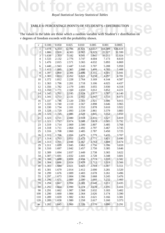

### TABLE 6: PERCENTAGE POINTS OF STUDENT'S *t* DISTRIBUTION

TABLE 6: PERCENTAGE POINTS OF STUDENT'S *t* DISTRIBUTION<br>The values in the table are those which a random variable with Student's *t* distribution on v degrees of freedom exceeds with the probability shown.

| ν              | 0.100 | 0.050 | 0.025  | 0.010  | 0.005  | 0.001   | 0.0005  |
|----------------|-------|-------|--------|--------|--------|---------|---------|
| $\mathbf{1}$   | 3.078 | 6.314 | 12.706 | 31.821 | 63.657 | 318.309 | 636.619 |
| $\overline{c}$ | 1.886 | 2.920 | 4.303  | 6.965  | 9.925  | 22.327  | 31.599  |
| $\overline{3}$ | 1.638 | 2.353 | 3.182  | 4.541  | 5.841  | 10.215  | 12.924  |
| 4              | 1.533 | 2.132 | 2.776  | 3.747  | 4.604  | 7.173   | 8.610   |
| 5              | 1.476 | 2.015 | 2.571  | 3.365  | 4.032  | 5.893   | 6.869   |
| 6              | 1.440 | 1.943 | 2.447  | 3.143  | 3.707  | 5.208   | 5.959   |
| $\overline{7}$ | 1.415 | 1.895 | 2.365  | 2.998  | 3.499  | 4.785   | 5.408   |
| $\,$ 8 $\,$    | 1.397 | 1.860 | 2.306  | 2.896  | 3.355  | 4.501   | 5.041   |
| 9              | 1.383 | 1.833 | 2.262  | 2.821  | 3.250  | 4.297   | 4.781   |
| 10             | 1.372 | 1.812 | 2.228  | 2.764  | 3.169  | 4.144   | 4.587   |
| 11             | 1.363 | 1.796 | 2.201  | 2.718  | 3.106  | 4.025   | 4.437   |
| 12             | 1.356 | 1.782 | 2.179  | 2.681  | 3.055  | 3.930   | 4.318   |
| 13             | 1.350 | 1.771 | 2.160  | 2.650  | 3.012  | 3.852   | 4.221   |
| 14             | 1.345 | 1.761 | 2.145  | 2.624  | 2.977  | 3.787   | 4.140   |
| 15             | 1.341 | 1.753 | 2.131  | 2.602  | 2.947  | 3.733   | 4.073   |
| 16             | 1.337 | 1.746 | 2.120  | 2.583  | 2.921  | 3.686   | 4.015   |
| 17             | 1.333 | 1.740 | 2.110  | 2.567  | 2.898  | 3.646   | 3.965   |
| 18             | 1.330 | 1.734 | 2.101  | 2.552  | 2.878  | 3.610   | 3.922   |
| 19             | 1.328 | 1.729 | 2.093  | 2.539  | 2.861  | 3.579   | 3.883   |
| 20             | 1.325 | 1.725 | 2.086  | 2.528  | 2.845  | 3.552   | 3.850   |
| 21             | 1.323 | 1.721 | 2.080  | 2.518  | 2.831  | 3.527   | 3.819   |
| 22             | 1.321 | 1.717 | 2.074  | 2.508  | 2.819  | 3.505   | 3.792   |
| 23             | 1.319 | 1.714 | 2.069  | 2.500  | 2.807  | 3.485   | 3.768   |
| 24             | 1.318 | 1.711 | 2.064  | 2.492  | 2.797  | 3.467   | 3.745   |
| 25             | 1.316 | 1.708 | 2.060  | 2.485  | 2.787  | 3.450   | 3.725   |
| 26             | 1.315 | 1.706 | 2.056  | 2.479  | 2.779  | 3.435   | 3.707   |
| 27             | 1.314 | 1.703 | 2.052  | 2.473  | 2.771  | 3.421   | 3.690   |
| 28             | 1.313 | 1.701 | 2.048  | 2.467  | 2.763  | 3.408   | 3.674   |
| 29             | 1.311 | 1.699 | 2.045  | 2.462  | 2.756  | 3.396   | 3.659   |
| 30             | 1.310 | 1.697 | 2.042  | 2.457  | 2.750  | 3.385   | 3.646   |
| 32             | 1.309 | 1.694 | 2.037  | 2.449  | 2.738  | 3.365   | 3.622   |
| 34             | 1.307 | 1.691 | 2.032  | 2.441  | 2.728  | 3.348   | 3.601   |
| 36             | 1.306 | 1.688 | 2.028  | 2.434  | 2.719  | 3.333   | 3.582   |
| 38             | 1.304 | 1.686 | 2.024  | 2.429  | 2.712  | 3.319   | 3.566   |
| 40             | 1.303 | 1.684 | 2.021  | 2.423  | 2.704  | 3.307   | 3.551   |
| 45             | 1.301 | 1.679 | 2.014  | 2.412  | 2.690  | 3.281   | 3.520   |
| 50             | 1.299 | 1.676 | 2.009  | 2.403  | 2.678  | 3.261   | 3.496   |
| 55             | 1.297 | 1.673 | 2.004  | 2.396  | 2.668  | 3.245   | 3.476   |
| 60             | 1.296 | 1.671 | 2.000  | 2.390  | 2.660  | 3.232   | 3.460   |
| 70             | 1.294 | 1.667 | 1.994  | 2.381  | 2.648  | 3.211   | 3.435   |
| 80             | 1.292 | 1.664 | 1.990  | 2.374  | 2.639  | 3.195   | 3.416   |
| 90             | 1.291 | 1.662 | 1.987  | 2.368  | 2.632  | 3.183   | 3.402   |
| 100            | 1.290 | 1.660 | 1.984  | 2.364  | 2.626  | 3.174   | 3.390   |
| 110            | 1.289 | 1.659 | 1.982  | 2.361  | 2.621  | 3.166   | 3.381   |
| 120            | 1.289 | 1.658 | 1.980  | 2.358  | 2.617  | 3.160   | 3.373   |
| $\infty$       | 1.282 | 1.645 | 1.960  | 2.326  | 2.576  | 3.090   | 3.291   |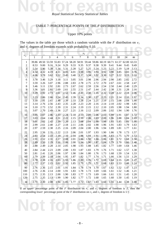### TABLE 7: PERCENTAGE POINTS OF THE F DISTRIBUTION<br>Upper 10% points TABLE 7: PERCENTAGE POINTS OF THE *F* DISTRIBUTION

#### Upper 10% points

The values in the table are those which a random variable with the  $F$  distribution on  $v_1$ and  $v_2$  degrees of freedom exceeds with probability 0.10.

|                         |                |                |      |                |      |      |                | $v_1$ |                |      |      |      |                                                                                     |          |
|-------------------------|----------------|----------------|------|----------------|------|------|----------------|-------|----------------|------|------|------|-------------------------------------------------------------------------------------|----------|
| $v_2$                   | $\overline{1}$ | $\overline{2}$ | 3    | $\overline{4}$ | 5    | 6    | $\overline{7}$ | 8     | $\overline{9}$ | 10   | 12   | 18   | 24                                                                                  | $\infty$ |
| 1                       |                |                |      |                |      |      |                |       |                |      |      |      | 39.86 49.50 53.59 55.83 57.24 58.20 58.91 59.44 59.86 60.19 60.71 61.57 62.00 63.33 |          |
| $\overline{\mathbf{c}}$ | 8.53           | 9.00           | 9.16 | 9.24           | 9.29 | 9.33 | 9.35           | 9.37  | 9.38           | 9.39 | 9.41 | 9.44 | 9.45                                                                                | 9.49     |
| 3                       | 5.54           | 5.46           | 5.39 | 5.34           | 5.31 | 5.28 | 5.27           | 5.25  | 5.24           | 5.23 | 5.22 | 5.19 | 5.18                                                                                | 5.13     |
| 4                       | 4.54           | 4.32           | 4.19 | 4.11           | 4.05 | 4.01 | 3.98           | 3.95  | 3.94           | 3.92 | 3.90 | 3.85 | 3.83                                                                                | 3.76     |
| 5                       | 4.06           | 3.78           | 3.62 | 3.52           | 3.45 | 3.40 | 3.37           | 3.34  | 3.32           | 3.30 | 3.27 | 3.22 | 3.19                                                                                | 3.10     |
| 6                       | 3.78           | 3.46           | 3.29 | 3.18           | 3.11 | 3.05 | 3.01           | 2.98  | 2.96           | 2.94 | 2.90 | 2.85 | 2.82                                                                                | 2.72     |
| 7                       | 3.59           | 3.26           | 3.07 | 2.96           | 2.88 | 2.83 | 2.78           | 2.75  | 2.72           | 2.70 | 2.67 | 2.61 | 2.58                                                                                | 2.47     |
| 8                       | 3.46           | 3.11           | 2.92 | 2.81           | 2.73 | 2.67 | 2.62           | 2.59  | 2.56           | 2.54 | 2.50 | 2.44 | 2.40                                                                                | 2.29     |
| 9                       | 3.36           | 3.01           | 2.81 | 2.69           | 2.61 | 2.55 | 2.51           | 2.47  | 2.44           | 2.42 | 2.38 | 2.31 | 2.28                                                                                | 2.16     |
| 10                      | 3.29           | 2.92           | 2.73 | 2.61           | 2.52 | 2.46 | 2.41           | 2.38  | 2.35           | 2.32 | 2.28 | 2.22 | 2.18                                                                                | 2.06     |
| 11                      | 3.23           | 2.86           | 2.66 | 2.54           | 2.45 | 2.39 | 2.34           | 2.30  | 2.27           | 2.25 | 2.21 | 2.14 | 2.10                                                                                | 1.97     |
| 12                      | 3.18           | 2.81           | 2.61 | 2.48           | 2.39 | 2.33 | 2.28           | 2.24  | 2.21           | 2.19 | 2.15 | 2.08 | 2.04                                                                                | 1.90     |
| 13                      | 3.14           | 2.76           | 2.56 | 2.43           | 2.35 | 2.28 | 2.23           | 2.20  | 2.16           | 2.14 | 2.10 | 2.02 | 1.98                                                                                | 1.85     |
| 14                      | 3.10           | 2.73           | 2.52 | 2.39           | 2.31 | 2.24 | 2.19           | 2.15  | 2.12           | 2.10 | 2.05 | 1.98 | 1.94                                                                                | 1.80     |
| 15                      | 3.07           | 2.70           | 2.49 | 2.36           | 2.27 | 2.21 | 2.16           | 2.12  | 2.09           | 2.06 | 2.02 | 1.94 | 1.90                                                                                | 1.76     |
| 16                      | 3.05           | 2.67           | 2.46 | 2.33           | 2.24 | 2.18 | 2.13           | 2.09  | 2.06           | 2.03 | 1.99 | 1.91 | 1.87                                                                                | 1.72     |
| 17                      | 3.03           | 2.64           | 2.44 | 2.31           | 2.22 | 2.15 | 2.10           | 2.06  | 2.03           | 2.00 | 1.96 | 1.88 | 1.84                                                                                | 1.69     |
| 18                      | 3.01           | 2.62           | 2.42 | 2.29           | 2.20 | 2.13 | 2.08           | 2.04  | 2.00           | 1.98 | 1.93 | 1.85 | 1.81                                                                                | 1.66     |
| 19                      | 2.99           | 2.61           | 2.40 | 2.27           | 2.18 | 2.11 | 2.06           | 2.02  | 1.98           | 1.96 | 1.91 | 1.83 | 1.79                                                                                | 1.63     |
| 20                      | 2.97           | 2.59           | 2.38 | 2.25           | 2.16 | 2.09 | 2.04           | 2.00  | 1.96           | 1.94 | 1.89 | 1.81 | 1.77                                                                                | 1.61     |
| 22                      | 2.95           | 2.56           | 2.35 | 2.22           | 2.13 | 2.06 | 2.01           | 1.97  | 1.93           | 1.90 | 1.86 | 1.78 | 1.73                                                                                | 1.57     |
| 24                      | 2.93           | 2.54           | 2.33 | 2.19           | 2.10 | 2.04 | 1.98           | 1.94  | 1.91           | 1.88 | 1.83 | 1.75 | 1.70                                                                                | 1.53     |
| 26                      | 2.91           | 2.52           | 2.31 | 2.17           | 2.08 | 2.01 | 1.96           | 1.92  | 1.88           | 1.86 | 1.81 | 1.72 | 1.68                                                                                | 1.50     |
| 28                      | 2.89           | 2.50           | 2.29 | 2.16           | 2.06 | 2.00 | 1.94           | 1.90  | 1.87           | 1.84 | 1.79 | 1.70 | 1.66                                                                                | 1.48     |
| 30                      | 2.88           | 2.49           | 2.28 | 2.14           | 2.05 | 1.98 | 1.93           | 1.88  | 1.85           | 1.82 | 1.77 | 1.69 | 1.64                                                                                | 1.46     |
| 40                      | 2.84           | 2.44           | 2.23 | 2.09           | 2.00 | 1.93 | 1.87           | 1.83  | 1.79           | 1.76 | 1.71 | 1.62 | 1.57                                                                                | 1.38     |
| 50                      | 2.81           | 2.41           | 2.20 | 2.06           | 1.97 | 1.90 | 1.84           | 1.80  | 1.76           | 1.73 | 1.68 | 1.59 | 1.54                                                                                | 1.33     |
| 60                      | 2.79           | 2.39           | 2.18 | 2.04           | 1.95 | 1.87 | 1.82           | 1.77  | 1.74           | 1.71 | 1.66 | 1.56 | 1.51                                                                                | 1.29     |
| 70                      | 2.78           | 2.38           | 2.16 | 2.03           | 1.93 | 1.86 | 1.80           | 1.76  | 1.72           | 1.69 | 1.64 | 1.55 | 1.49                                                                                | 1.27     |
| 80                      | 2.77           | 2.37           | 2.15 | 2.02           | 1.92 | 1.85 | 1.79           | 1.75  | 1.71           | 1.68 | 1.63 | 1.53 | 1.48                                                                                | 1.24     |
| 90                      | 2.76           | 2.36           | 2.15 | 2.01           | 1.91 | 1.84 | 1.78           | 1.74  | 1.70           | 1.67 | 1.62 | 1.52 | 1.47                                                                                | 1.23     |
| 100                     | 2.76           | 2.36           | 2.14 | 2.00           | 1.91 | 1.83 | 1.78           | 1.73  | 1.69           | 1.66 | 1.61 | 1.52 | 1.46                                                                                | 1.21     |
| 110                     | 2.75           | 2.35           | 2.13 | 2.00           | 1.90 | 1.83 | 1.77           | 1.73  | 1.69           | 1.66 | 1.61 | 1.51 | 1.45                                                                                | 1.20     |
| 120                     | 2.75           | 2.35           | 2.13 | 1.99           | 1.90 | 1.82 | 1.77           | 1.72  | 1.68           | 1.65 | 1.60 | 1.50 | 1.45                                                                                | 1.19     |
| $\infty$                | 2.71           | 2.30           |      | $2.08 - 1.94$  | 1.85 |      | $-1.77$ 1.72   | 1.67  | 1.63           | 1.60 | 1.55 | 1.44 | 1.38                                                                                | 1.00     |

corresponding *lower* percentage point of the *F* distribution on  $v_2$  and  $v_1$  degrees of freedom is  $1/f$ .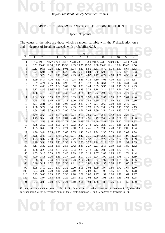### TABLE 7: PERCENTAGE POINTS OF THE F DISTRIBUTION<br>Upper 5% points TABLE 7: PERCENTAGE POINTS OF THE *F* DISTRIBUTION

#### Upper 5% points

The values in the table are those which a random variable with the  $F$  distribution on  $v_1$ and  $v_2$  degrees of freedom exceeds with probability 0.05.

|                |                |                |      |                                                                                     |      |      | $v_1$             |      |                |      |      |      |      |          |
|----------------|----------------|----------------|------|-------------------------------------------------------------------------------------|------|------|-------------------|------|----------------|------|------|------|------|----------|
| $v_2$          | $\overline{1}$ | $\overline{2}$ | 3    | $\overline{4}$                                                                      | 5    | 6    | $\overline{7}$    | 8    | $\overline{9}$ | 10   | 12   | 18   | 24   | $\infty$ |
| 1              |                |                |      | 161.4 199.5 215.7 224.6 230.2 234.0 236.8 238.9 240.5 241.9 243.9 247.3 249.1 254.3 |      |      |                   |      |                |      |      |      |      |          |
| $\overline{c}$ |                |                |      | 18.51 19.00 19.16 19.25 19.30 19.33 19.35 19.37 19.38 19.40 19.41 19.44 19.45 19.50 |      |      |                   |      |                |      |      |      |      |          |
| 3              | 10.13          | 9.55           | 9.28 | 9.12                                                                                | 9.01 | 8.94 | 8.89              | 8.85 | 8.81           | 8.79 | 8.74 | 8.67 | 8.64 | 8.53     |
| 4              | 7.71           | 6.94           | 6.59 | 6.39                                                                                | 6.26 | 6.16 | 6.09              | 6.04 | 6.00           | 5.96 | 5.91 | 5.82 | 5.77 | 5.63     |
| 5              | 6.61           | 5.79           | 5.41 | 5.19                                                                                | 5.05 | 4.95 | 4.88              | 4.82 | 4.77           | 4.74 | 4.68 | 4.58 | 4.53 | 4.36     |
| 6              | 5.99           | 5.14           | 4.76 | 4.53                                                                                | 4.39 | 4.28 | 4.21              | 4.15 | 4.10           | 4.06 | 4.00 | 3.90 | 3.84 | 3.67     |
| 7              | 5.59           | 4.74           | 4.35 | 4.12                                                                                | 3.97 | 3.87 | 3.79              | 3.73 | 3.68           | 3.64 | 3.57 | 3.47 | 3.41 | 3.23     |
| 8              | 5.32           | 4.46           | 4.07 | 3.84                                                                                | 3.69 | 3.58 | 3.50              | 3.44 | 3.39           | 3.35 | 3.28 | 3.17 | 3.12 | 2.93     |
| 9              | 5.12           | 4.26           | 3.86 | 3.63                                                                                | 3.48 | 3.37 | 3.29              | 3.23 | 3.18           | 3.14 | 3.07 | 2.96 | 2.90 | 2.71     |
| 10             | 4.96           | 4.10           | 3.71 | 3.48                                                                                | 3.33 | 3.22 | 3.14              | 3.07 | 3.02           | 2.98 | 2.91 | 2.80 | 2.74 | 2.54     |
| 11             | 4.84           | 3.98           | 3.59 | 3.36                                                                                | 3.20 | 3.09 | 3.01              | 2.95 | 2.90           | 2.85 | 2.79 | 2.67 | 2.61 | 2.40     |
| 12             | 4.75           | 3.89           | 3.49 | 3.26                                                                                | 3.11 | 3.00 | 2.91              | 2.85 | 2.80           | 2.75 | 2.69 | 2.57 | 2.51 | 2.30     |
| 13             | 4.67           | 3.81           | 3.41 | 3.18                                                                                | 3.03 | 2.92 | 2.83              | 2.77 | 2.71           | 2.67 | 2.60 | 2.48 | 2.42 | 2.21     |
| 14             | 4.60           | 3.74           | 3.34 | 3.11                                                                                | 2.96 | 2.85 | 2.76              | 2.70 | 2.65           | 2.60 | 2.53 | 2.41 | 2.35 | 2.13     |
| 15             | 4.54           | 3.68           | 3.29 | 3.06                                                                                | 2.90 | 2.79 | 2.71              | 2.64 | 2.59           | 2.54 | 2.48 | 2.35 | 2.29 | 2.07     |
| 16             | 4.49           | 3.63           | 3.24 | 3.01                                                                                | 2.85 | 2.74 | 2.66              | 2.59 | 2.54           | 2.49 | 2.42 | 2.30 | 2.24 | 2.01     |
| 17             | 4.45           | 3.59           | 3.20 | 2.96                                                                                | 2.81 | 2.70 | 2.61              | 2.55 | 2.49           | 2.45 | 2.38 | 2.26 | 2.19 | 1.96     |
| 18             | 4.41           | 3.55           | 3.16 | 2.93                                                                                | 2.77 | 2.66 | 2.58              | 2.51 | 2.46           | 2.41 | 2.34 | 2.22 | 2.15 | 1.92     |
| 19             | 4.38           | 3.52           | 3.13 | 2.90                                                                                | 2.74 | 2.63 | 2.54              | 2.48 | 2.42           | 2.38 | 2.31 | 2.18 | 2.11 | 1.88     |
| 20             | 4.35           | 3.49           | 3.10 | 2.87                                                                                | 2.71 | 2.60 | 2.51              | 2.45 | 2.39           | 2.35 | 2.28 | 2.15 | 2.08 | 1.84     |
| 22             | 4.30           | 3.44           | 3.05 | 2.82                                                                                | 2.66 | 2.55 | 2.46              | 2.40 | 2.34           | 2.30 | 2.23 | 2.10 | 2.03 | 1.78     |
| 24             | 4.26           | 3.40           | 3.01 | 2.78                                                                                | 2.62 | 2.51 | 2.42              | 2.36 | 2.30           | 2.25 | 2.18 | 2.05 | 1.98 | 1.73     |
| 26             | 4.23           | 3.37           | 2.98 | 2.74                                                                                | 2.59 | 2.47 | 2.39              | 2.32 | 2.27           | 2.22 | 2.15 | 2.02 | 1.95 | 1.69     |
| 28             | 4.20           | 3.34           | 2.95 | 2.71                                                                                | 2.56 | 2.45 | 2.36              | 2.29 | 2.24           | 2.19 | 2.12 | 1.99 | 1.91 | 1.65     |
| 30             | 4.17           | 3.32           | 2.92 | 2.69                                                                                | 2.53 | 2.42 | 2.33              | 2.27 | 2.21           | 2.16 | 2.09 | 1.96 | 1.89 | 1.62     |
| 40             | 4.08           | 3.23           | 2.84 | 2.61                                                                                | 2.45 | 2.34 | 2.25              | 2.18 | 2.12           | 2.08 | 2.00 | 1.87 | 1.79 | 1.51     |
| 50             | 4.03           | 3.18           | 2.79 | 2.56                                                                                | 2.40 | 2.29 | 2.20              | 2.13 | 2.07           | 2.03 | 1.95 | 1.81 | 1.74 | 1.44     |
| 60             | 4.00           | 3.15           | 2.76 | 2.53                                                                                | 2.37 | 2.25 | 2.17              | 2.10 | 2.04           | 1.99 | 1.92 | 1.78 | 1.70 | 1.39     |
| 70             | 3.98           | 3.13           | 2.74 | 2.50                                                                                | 2.35 | 2.23 | 2.14              | 2.07 | 2.02           | 1.97 | 1.89 | 1.75 | 1.67 | 1.35     |
| 80             | 3.96           | 3.11           | 2.72 | 2.49                                                                                | 2.33 | 2.21 | 2.13              | 2.06 | 2.00           | 1.95 | 1.88 | 1.73 | 1.65 | 1.32     |
| 90             | 3.95           | 3.10           | 2.71 | 2.47                                                                                | 2.32 | 2.20 | 2.11              | 2.04 | 1.99           | 1.94 | 1.86 | 1.72 | 1.64 | 1.30     |
| 100            | 3.94           | 3.09           | 2.70 | 2.46                                                                                | 2.31 | 2.19 | 2.10              | 2.03 | 1.97           | 1.93 | 1.85 | 1.71 | 1.63 | 1.28     |
| 110            | 3.93           | 3.08           | 2.69 | 2.45                                                                                | 2.30 | 2.18 | 2.09              | 2.02 | 1.97           | 1.92 | 1.84 | 1.70 | 1.62 | 1.27     |
| 120            | 3.92           | 3.07           | 2.68 | 2.45                                                                                | 2.29 | 2.18 | 2.09              | 2.02 | 1.96           | 1.91 | 1.83 | 1.69 | 1.61 | 1.25     |
| $\infty$       | 3.84           | 3.00           |      | $2.60 - 2.37$                                                                       | 2.21 |      | $2.10 \quad 2.01$ | 1.94 | 1.88           | 1.83 | 1.75 | 1.60 | 1.52 | 1.00     |

corresponding *lower* percentage point of the *F* distribution on  $v_2$  and  $v_1$  degrees of freedom is  $1/f$ .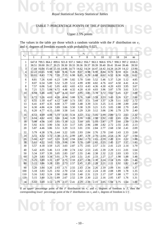### TABLE 7: PERCENTAGE POINTS OF THE F DISTRIBUTION<br>Upper 2.5% points TABLE 7: PERCENTAGE POINTS OF THE *F* DISTRIBUTION

#### Upper 2.5% points

The values in the table are those which a random variable with the  $F$  distribution on  $v_1$ and  $v_2$  degrees of freedom exceeds with probability 0.025.

|          |                |                |                                                                               |      |      |      |                | $v_1$          |               |      |      |      |      |                                                                                      |
|----------|----------------|----------------|-------------------------------------------------------------------------------|------|------|------|----------------|----------------|---------------|------|------|------|------|--------------------------------------------------------------------------------------|
|          | $\overline{1}$ | $\overline{2}$ | 3                                                                             | 4    | 5    | 6    | $\overline{7}$ | $\overline{8}$ | 9             | 10   | 12   | 18   | 24   | $\infty$                                                                             |
|          |                |                |                                                                               |      |      |      |                |                |               |      |      |      |      | 647.8 799.5 864.2 899.6 921.8 937.1 948.2 956.7 963.3 968.6 976.7 990.3 997.2 1018.3 |
|          |                |                | 38.51 39.00 39.17 39.25 39.30 39.33 39.36 39.37 39.39 39.40 39.41 39.44 39.46 |      |      |      |                |                |               |      |      |      |      | 39.50                                                                                |
|          |                |                | 17.44 16.04 15.44 15.10 14.88 14.73 14.62 14.54 14.47 14.42 14.34 14.20 14.12 |      |      |      |                |                |               |      |      |      |      | 13.90                                                                                |
|          |                | 12.22 10.65    | 9.98                                                                          | 9.60 | 9.36 | 9.20 | 9.07           | 8.98           | 8.90          | 8.84 | 8.75 | 8.59 | 8.51 | 8.26                                                                                 |
|          | 10.01          | 8.43           | 7.76                                                                          | 7.39 | 7.15 | 6.98 | 6.85           | 6.76           | 6.68          | 6.62 | 6.52 | 6.36 | 6.28 | 6.02                                                                                 |
|          | 8.81           | 7.26           | 6.60                                                                          | 6.23 | 5.99 | 5.82 | 5.70           | 5.60           | 5.52          | 5.46 | 5.37 | 5.20 | 5.12 | 4.85                                                                                 |
|          | 8.07           | 6.54           | 5.89                                                                          | 5.52 | 5.29 | 5.12 | 4.99           | 4.90           | 4.82          | 4.76 | 4.67 | 4.50 | 4.41 | 4.14                                                                                 |
|          | 7.57           | 6.06           | 5.42                                                                          | 5.05 | 4.82 | 4.65 | 4.53           | 4.43           | 4.36          | 4.30 | 4.20 | 4.03 | 3.95 | 3.67                                                                                 |
|          | 7.21           | 5.71           | 5.08                                                                          | 4.72 | 4.48 | 4.32 | 4.20           | 4.10           | 4.03          | 3.96 | 3.87 | 3.70 | 3.61 | 3.33                                                                                 |
| 10       | 6.94           | 5.46           | 4.83                                                                          | 4.47 | 4.24 | 4.07 | 3.95           | 3.85           | 3.78          | 3.72 | 3.62 | 3.45 | 3.37 | 3.08                                                                                 |
| 11       | 6.72           | 5.26           | 4.63                                                                          | 4.28 | 4.04 | 3.88 | 3.76           | 3.66           | 3.59          | 3.53 | 3.43 | 3.26 | 3.17 | 2.88                                                                                 |
| 12       | 6.55           | 5.10           | 4.47                                                                          | 4.12 | 3.89 | 3.73 | 3.61           | 3.51           | 3.44          | 3.37 | 3.28 | 3.11 | 3.02 | 2.72                                                                                 |
| 13       | 6.41           | 4.97           | 4.35                                                                          | 4.00 | 3.77 | 3.60 | 3.48           | 3.39           | 3.31          | 3.25 | 3.15 | 2.98 | 2.89 | 2.60                                                                                 |
| 14<br>15 | 6.30           | 4.86           | 4.24                                                                          | 3.89 | 3.66 | 3.50 | 3.38           | 3.29           | 3.21          | 3.15 | 3.05 | 2.88 | 2.79 | 2.49                                                                                 |
|          | 6.20           | 4.77           | 4.15                                                                          | 3.80 | 3.58 | 3.41 | 3.29           | 3.20           | 3.12          | 3.06 | 2.96 | 2.79 | 2.70 | 2.40                                                                                 |
|          | 6.12           | 4.69           | 4.08                                                                          | 3.73 | 3.50 | 3.34 | 3.22           | 3.12           | 3.05          | 2.99 | 2.89 | 2.72 | 2.63 | 2.32                                                                                 |
| 18       | 6.04           | 4.62           | 4.01                                                                          | 3.66 | 3.44 | 3.28 | 3.16           | 3.06           | 2.98          | 2.92 | 2.82 | 2.65 | 2.56 | 2.25                                                                                 |
|          | 5.98           | 4.56           | 3.95                                                                          | 3.61 | 3.38 | 3.22 | 3.10           | 3.01           | 2.93          | 2.87 | 2.77 | 2.60 | 2.50 | 2.19                                                                                 |
| 19<br>20 | 5.92           | 4.51           | 3.90                                                                          | 3.56 | 3.33 | 3.17 | 3.05           | 2.96           | 2.88          | 2.82 | 2.72 | 2.55 | 2.45 | 2.13                                                                                 |
|          | 5.87           | 4.46           | 3.86                                                                          | 3.51 | 3.29 | 3.13 | 3.01           | 2.91           | 2.84          | 2.77 | 2.68 | 2.50 | 2.41 | 2.09                                                                                 |
|          | 5.79           | 4.38           | 3.78                                                                          | 3.44 | 3.22 | 3.05 | 2.93           | 2.84           | 2.76          | 2.70 | 2.60 | 2.43 | 2.33 | 2.00                                                                                 |
|          | 5.72           | 4.32           | 3.72                                                                          | 3.38 | 3.15 | 2.99 | 2.87           | 2.78           | 2.70          | 2.64 | 2.54 | 2.36 | 2.27 | 1.94                                                                                 |
|          | 5.66           | 4.27           | 3.67                                                                          | 3.33 | 3.10 | 2.94 | 2.82           | 2.73           | 2.65          | 2.59 | 2.49 | 2.31 | 2.22 | 1.88                                                                                 |
| 28<br>30 | 5.61           | 4.22           | 3.63                                                                          | 3.29 | 3.06 | 2.90 | 2.78           | 2.69           | 2.61          | 2.55 | 2.45 | 2.27 | 2.17 | 1.83                                                                                 |
|          | 5.57           | 4.18           | 3.59                                                                          | 3.25 | 3.03 | 2.87 | 2.75           | 2.65           | 2.57          | 2.51 | 2.41 | 2.23 | 2.14 | 1.79                                                                                 |
| 40       | 5.42           | 4.05           | 3.46                                                                          | 3.13 | 2.90 | 2.74 | 2.62           | 2.53           | 2.45          | 2.39 | 2.29 | 2.11 | 2.01 | 1.64                                                                                 |
| 50       | 5.34           | 3.97           | 3.39                                                                          | 3.05 | 2.83 | 2.67 | 2.55           | 2.46           | 2.38          | 2.32 | 2.22 | 2.03 | 1.93 | 1.55                                                                                 |
| 60       | 5.29           | 3.93           | 3.34                                                                          | 3.01 | 2.79 | 2.63 | 2.51           | 2.41           | 2.33          | 2.27 | 2.17 | 1.98 | 1.88 | 1.48                                                                                 |
| 70       | 5.25           | 3.89           | 3.31                                                                          | 2.97 | 2.75 | 2.59 | 2.47           | 2.38           | 2.30          | 2.24 | 2.14 | 1.95 | 1.85 | 1.44                                                                                 |
| 80       | 5.22           | 3.86           | 3.28                                                                          | 2.95 | 2.73 | 2.57 | 2.45           | 2.35           | 2.28          | 2.21 | 2.11 | 1.92 | 1.82 | 1.40                                                                                 |
|          | 5.20           | 3.84           | 3.26                                                                          | 2.93 | 2.71 | 2.55 | 2.43           | 2.34           | 2.26          | 2.19 | 2.09 | 1.91 | 1.80 | 1.37                                                                                 |
| 100      | 5.18           | 3.83           | 3.25                                                                          | 2.92 | 2.70 | 2.54 | 2.42           | 2.32           | 2.24          | 2.18 | 2.08 | 1.89 | 1.78 | 1.35                                                                                 |
| 110      | 5.16           | 3.82           | 3.24                                                                          | 2.90 | 2.68 | 2.53 | 2.40           | 2.31           | 2.23          | 2.17 | 2.07 | 1.88 | 1.77 | 1.33                                                                                 |
| 120      | 5.15           | 3.80           | 3.23                                                                          | 2.89 | 2.67 | 2.52 | 2.39           | 2.30           | 2.22          | 2.16 | 2.05 | 1.87 | 1.76 | 1.31                                                                                 |
|          | 5.02           | 3.69           | 3.12                                                                          | 2.79 | 2.57 | 2.41 | 2.29           |                | $2.19$ $2.11$ | 2.05 | 1.94 | 1.75 | 1.64 | 1.00                                                                                 |

corresponding *lower* percentage point of the *F* distribution on  $v_2$  and  $v_1$  degrees of freedom is  $1/f$ .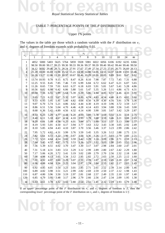### TABLE 7: PERCENTAGE POINTS OF THE F DISTRIBUTION<br>Upper 1% points TABLE 7: PERCENTAGE POINTS OF THE *F* DISTRIBUTION

#### Upper 1% points

The values in the table are those which a random variable with the *F* distribution on  $v_1$ and  $v_2$  degrees of freedom exceeds with probability 0.01.

|                |                |                |      |                |      |      | $v_1$          |                                                             |                |      |      |      |                                                                                     |                   |
|----------------|----------------|----------------|------|----------------|------|------|----------------|-------------------------------------------------------------|----------------|------|------|------|-------------------------------------------------------------------------------------|-------------------|
| $v_2$          | $\overline{1}$ | $\overline{2}$ | 3    | $\overline{4}$ | 5    | 6    | $\overline{7}$ | 8                                                           | $\overline{9}$ | 10   | 12   | 18   | 24                                                                                  | $\infty$          |
| 1              | 4052           | 5000           | 5403 |                |      |      |                | 5625 5764 5859 5928 5981 6022 6056 6106 6192                |                |      |      |      |                                                                                     | 6235 6366         |
| $\overline{c}$ |                |                |      |                |      |      |                |                                                             |                |      |      |      | 98.50 99.00 99.17 99.25 99.30 99.33 99.36 99.37 99.39 99.40 99.42 99.44 99.46 99.50 |                   |
| 3              |                |                |      |                |      |      |                |                                                             |                |      |      |      | 34.12 30.82 29.46 28.71 28.24 27.91 27.67 27.49 27.34 27.23 27.05 26.75 26.60 26.13 |                   |
| 4              |                |                |      |                |      |      |                |                                                             |                |      |      |      | 21.20 18.00 16.69 15.98 15.52 15.21 14.98 14.80 14.66 14.55 14.37 14.08 13.93 13.46 |                   |
| 5              |                |                |      |                |      |      |                | 16.26 13.27 12.06 11.39 10.97 10.67 10.46 10.29 10.16 10.05 |                |      | 9.89 | 9.61 | 9.47                                                                                | 9.02              |
| 6              | 13.74 10.93    |                | 9.78 | 9.15           | 8.75 | 8.47 | 8.26           | 8.10                                                        | 7.98           | 7.87 | 7.72 | 7.45 | 7.31                                                                                | 6.88              |
| 7              | 12.25          | 9.55           | 8.45 | 7.85           | 7.46 | 7.19 | 6.99           | 6.84                                                        | 6.72           | 6.62 | 6.47 | 6.21 | 6.07                                                                                | 5.65              |
| 8              | 11.26          | 8.65           | 7.59 | 7.01           | 6.63 | 6.37 | 6.18           | 6.03                                                        | 5.91           | 5.81 | 5.67 | 5.41 | 5.28                                                                                | 4.86              |
| 9              | 10.56          | 8.02           | 6.99 | 6.42           | 6.06 | 5.80 | 5.61           | 5.47                                                        | 5.35           | 5.26 | 5.11 | 4.86 | 4.73                                                                                | 4.31              |
| 10             | 10.04          | 7.56           | 6.55 | 5.99           | 5.64 | 5.39 | 5.20           | 5.06                                                        | 4.94           | 4.85 | 4.71 | 4.46 | 4.33                                                                                | 3.91              |
| 11             | 9.65           | 7.21           | 6.22 | 5.67           | 5.32 | 5.07 | 4.89           | 4.74                                                        | 4.63           | 4.54 | 4.40 | 4.15 | 4.02                                                                                | 3.60              |
| 12             | 9.33           | 6.93           | 5.95 | 5.41           | 5.06 | 4.82 | 4.64           | 4.50                                                        | 4.39           | 4.30 | 4.16 | 3.91 | 3.78                                                                                | 3.36              |
| 13             | 9.07           | 6.70           | 5.74 | 5.21           | 4.86 | 4.62 | 4.44           | 4.30                                                        | 4.19           | 4.10 | 3.96 | 3.72 | 3.59                                                                                | 3.17              |
| 14             | 8.86           | 6.51           | 5.56 | 5.04           | 4.70 | 4.46 | 4.28           | 4.14                                                        | 4.03           | 3.94 | 3.80 | 3.56 | 3.43                                                                                | 3.00              |
| 15             | 8.68           | 6.36           | 5.42 | 4.89           | 4.56 | 4.32 | 4.14           | 4.00                                                        | 3.90           | 3.81 | 3.67 | 3.42 | 3.29                                                                                | 2.87              |
| 16             | 8.53           | 6.23           | 5.29 | 4.77           | 4.44 | 4.20 | 4.03           | 3.89                                                        | 3.78           | 3.69 | 3.55 | 3.31 | 3.18                                                                                | 2.75              |
| 17             | 8.40           | 6.11           | 5.18 | 4.67           | 4.34 | 4.10 | 3.93           | 3.79                                                        | 3.68           | 3.59 | 3.46 | 3.21 | 3.08                                                                                | 2.65              |
| 18             | 8.29           | 6.01           | 5.09 | 4.58           | 4.25 | 4.01 | 3.84           | 3.71                                                        | 3.60           | 3.51 | 3.37 | 3.13 | 3.00                                                                                | 2.57              |
| 19             | 8.19           | 5.93           | 5.01 | 4.50           | 4.17 | 3.94 | 3.77           | 3.63                                                        | 3.52           | 3.43 | 3.30 | 3.05 | 2.92                                                                                | 2.49              |
| 20             | 8.10           | 5.85           | 4.94 | 4.43           | 4.10 | 3.87 | 3.70           | 3.56                                                        | 3.46           | 3.37 | 3.23 | 2.99 | 2.86                                                                                | 2.42              |
| 22             | 7.95           | 5.72           | 4.82 | 4.31           | 3.99 | 3.76 | 3.59           | 3.45                                                        | 3.35           | 3.26 | 3.12 | 2.88 | 2.75                                                                                | 2.31              |
| 24             | 7.82           | 5.61           | 4.72 | 4.22           | 3.90 | 3.67 | 3.50           | 3.36                                                        | 3.26           | 3.17 | 3.03 | 2.79 | 2.66                                                                                | 2.21              |
| 26             | 7.72           | 5.53           | 4.64 | 4.14           | 3.82 | 3.59 | 3.42           | 3.29                                                        | 3.18           | 3.09 | 2.96 | 2.71 | 2.59                                                                                | 2.13              |
| 28             | 7.64           | 5.45           | 4.57 | 4.07           | 3.75 | 3.53 | 3.36           | 3.23                                                        | 3.12           | 3.03 | 2.90 | 2.65 | 2.52                                                                                | 2.06              |
| 30             | 7.56           | 5.39           | 4.51 | 4.02           | 3.70 | 3.47 | 3.30           | 3.17                                                        | 3.07           | 2.98 | 2.84 | 2.60 | 2.47                                                                                | 2.01              |
| 40             | 7.31           | 5.18           | 4.31 | 3.83           | 3.51 | 3.29 | 3.12           | 2.99                                                        | 2.89           | 2.80 | 2.67 | 2.42 | 2.29                                                                                | 1.80              |
| 50             | 7.17           | 5.06           | 4.20 | 3.72           | 3.41 | 3.19 | 3.02           | 2.89                                                        | 2.79           | 2.70 | 2.56 | 2.32 | 2.18                                                                                | 1.68              |
| 60             | 7.08           | 4.98           | 4.13 | 3.65           | 3.34 | 3.12 | 2.95           | 2.82                                                        | 2.72           | 2.63 | 2.50 | 2.25 | 2.12                                                                                | 1.60              |
| 70             | 7.01           | 4.92           | 4.07 | 3.60           | 3.29 | 3.07 | 2.91           | 2.78                                                        | 2.67           | 2.59 | 2.45 | 2.20 | 2.07                                                                                | 1.54              |
| 80             | 6.96           | 4.88           | 4.04 | 3.56           | 3.25 | 3.04 | 2.87           | 2.74                                                        | 2.64           | 2.55 | 2.42 | 2.17 | 2.03                                                                                | 1.49              |
| 90             | 6.92           | 4.85           | 4.01 | 3.54           | 3.23 | 3.01 | 2.85           | 2.71                                                        | 2.61           | 2.52 | 2.39 | 2.14 | 2.00                                                                                | 1.46              |
| 100            | 6.89           | 4.82           | 3.98 | 3.51           | 3.21 | 2.99 | 2.82           | 2.69                                                        | 2.59           | 2.50 | 2.37 | 2.12 | 1.98                                                                                | 1.43              |
| 110            | 6.87           | 4.80           | 3.96 | 3.50           | 3.19 | 2.97 | 2.81           | 2.68                                                        | 2.57           | 2.49 | 2.35 | 2.10 | 1.97                                                                                | 1.40              |
| 120            | 6.85           | 4.79           | 3.95 | 3.48           | 3.17 | 2.96 | 2.79           | 2.66                                                        | 2.56           | 2.47 | 2.34 | 2.09 | 1.95                                                                                | 1.38              |
| $\infty$       | 6.63           | 4.61           | 3.78 | 3.32           | 3.02 |      | 2.80 2.64 2.51 |                                                             | 2.41           | 2.32 | 2.19 | 1.93 | 1.79                                                                                | 1.00 <sub>°</sub> |

corresponding *lower* percentage point of the *F* distribution on  $v_2$  and  $v_1$  degrees of freedom is  $1/f$ .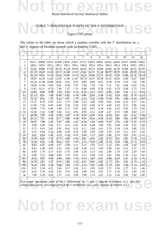### TABLE 7: PERCENTAGE POINTS OF THE F DISTRIBUTION<br>Upper 0.5% points TABLE 7: PERCENTAGE POINTS OF THE *F* DISTRIBUTION

#### Upper 0.5% points

The values in the table are those which a random variable with the *F* distribution on  $v_1$ and  $v_2$  degrees of freedom exceeds with probability 0.005.

|                | The values in the table are those which a failuon variable with the $\Gamma$ distribution on $V_1$<br>and $v_2$ degrees of freedom exceeds with probability 0.005. |                |                                                                                     |                |                |       |                         |                |             |       |       |       |       |          |
|----------------|--------------------------------------------------------------------------------------------------------------------------------------------------------------------|----------------|-------------------------------------------------------------------------------------|----------------|----------------|-------|-------------------------|----------------|-------------|-------|-------|-------|-------|----------|
|                |                                                                                                                                                                    |                |                                                                                     |                |                |       |                         |                |             |       |       |       |       |          |
| $v_2$          |                                                                                                                                                                    |                |                                                                                     |                | $\overline{5}$ |       | $v_1$<br>$\overline{7}$ |                | 9           |       |       |       |       |          |
|                | $\overline{1}$                                                                                                                                                     | $\overline{2}$ | 3                                                                                   | $\overline{4}$ |                | 6     |                         | $\overline{8}$ |             | 10    | 12    | 18    | 24    | $\infty$ |
| $\mathbf{1}$   |                                                                                                                                                                    |                | 16211 20000 21615 22500 23056 23437 23715 23925 24091 24224 24426 24767 24940 25464 |                |                |       |                         |                |             |       |       |       |       |          |
| $\overline{c}$ | 198.5                                                                                                                                                              | 199.0          | 199.2                                                                               | 199.3          | 199.3          | 199.3 | 199.4                   | 199.4          | 199.4       | 199.4 | 199.4 | 199.4 | 199.5 | 199.5    |
| 3              | 55.55                                                                                                                                                              | 49.80          | 47.47                                                                               | 46.19          | 45.39          | 44.84 | 44.43                   | 44.13          | 43.88       | 43.69 | 43.39 | 42.88 | 42.62 | 41.83    |
| $\overline{4}$ | 31.33                                                                                                                                                              | 26.28          | 24.26                                                                               | 23.15          | 22.46          | 21.97 | 21.62                   |                | 21.35 21.14 | 20.97 | 20.70 | 20.26 | 20.03 | 19.32    |
| 5              | 22.78                                                                                                                                                              | 18.31          | 16.53                                                                               | 15.56          | 14.94          | 14.51 | 14.20                   | 13.96          | 13.77       | 13.62 | 13.38 | 12.98 | 12.78 | 12.14    |
| 6              | 18.63                                                                                                                                                              | 14.54          | 12.92                                                                               | 12.03          | 11.46          | 11.07 | 10.79                   | 10.57          | 10.39       | 10.25 | 10.03 | 9.66  | 9.47  | 8.88     |
| $\overline{7}$ | 16.24                                                                                                                                                              | 12.40          | 10.88                                                                               | 10.05          | 9.52           | 9.16  | 8.89                    | 8.68           | 8.51        | 8.38  | 8.18  | 7.83  | 7.64  | 7.08     |
| 8              | 14.69                                                                                                                                                              | 11.04          | 9.60                                                                                | 8.81           | 8.30           | 7.95  | 7.69                    | 7.50           | 7.34        | 7.21  | 7.01  | 6.68  | 6.50  | 5.95     |
| 9              | 13.61                                                                                                                                                              | 10.11          | 8.72                                                                                | 7.96           | 7.47           | 7.13  | 6.88                    | 6.69           | 6.54        | 6.42  | 6.23  | 5.90  | 5.73  | 5.19     |
| 10             | 12.83                                                                                                                                                              | 9.43           | 8.08                                                                                | 7.34           | 6.87           | 6.54  | 6.30                    | 6.12           | 5.97        | 5.85  | 5.66  | 5.34  | 5.17  | 4.64     |
| 11             | 12.23                                                                                                                                                              | 8.91           | 7.60                                                                                | 6.88           | 6.42           | 6.10  | 5.86                    | 5.68           | 5.54        | 5.42  | 5.24  | 4.92  | 4.76  | 4.23     |
| 12             | 11.75                                                                                                                                                              | 8.51           | 7.23                                                                                | 6.52           | 6.07           | 5.76  | 5.52                    | 5.35           | 5.20        | 5.09  | 4.91  | 4.59  | 4.43  | 3.90     |
| 13             | 11.37                                                                                                                                                              | 8.19           | 6.93                                                                                | 6.23           | 5.79           | 5.48  | 5.25                    | 5.08           | 4.94        | 4.82  | 4.64  | 4.33  | 4.17  | 3.65     |
| 14             | 11.06                                                                                                                                                              | 7.92           | 6.68                                                                                | 6.00           | 5.56           | 5.26  | 5.03                    | 4.86           | 4.72        | 4.60  | 4.43  | 4.12  | 3.96  | 3.44     |
| 15             | 10.80                                                                                                                                                              | 7.70           | 6.48                                                                                | 5.80           | 5.37           | 5.07  | 4.85                    | 4.67           | 4.54        | 4.42  | 4.25  | 3.95  | 3.79  | 3.26     |
| 16             | 10.58                                                                                                                                                              | 7.51           | 6.30                                                                                | 5.64           | 5.21           | 4.91  | 4.69                    | 4.52           | 4.38        | 4.27  | 4.10  | 3.80  | 3.64  | 3.11     |
| 17             | 10.38                                                                                                                                                              | 7.35           | 6.16                                                                                | 5.50           | 5.07           | 4.78  | 4.56                    | 4.39           | 4.25        | 4.14  | 3.97  | 3.67  | 3.51  | 2.98     |
| 18             | 10.22                                                                                                                                                              | 7.21           | 6.03                                                                                | 5.37           | 4.96           | 4.66  | 4.44                    | 4.28           | 4.14        | 4.03  | 3.86  | 3.56  | 3.40  | 2.87     |
| 19             | 10.07                                                                                                                                                              | 7.09           | 5.92                                                                                | 5.27           | 4.85           | 4.56  | 4.34                    | 4.18           | 4.04        | 3.93  | 3.76  | 3.46  | 3.31  | 2.78     |
| 20             | 9.94                                                                                                                                                               | 6.99           | 5.82                                                                                | 5.17           | 4.76           | 4.47  | 4.26                    | 4.09           | 3.96        | 3.85  | 3.68  | 3.38  | 3.22  | 2.69     |
| 22             | 9.73                                                                                                                                                               | 6.81           | 5.65                                                                                | 5.02           | 4.61           | 4.32  | 4.11                    | 3.94           | 3.81        | 3.70  | 3.54  | 3.24  | 3.08  | 2.55     |
| 24             | 9.55                                                                                                                                                               | 6.66           | 5.52                                                                                | 4.89           | 4.49           | 4.20  | 3.99                    | 3.83           | 3.69        | 3.59  | 3.42  | 3.12  | 2.97  | 2.43     |
| 26             | 9.41                                                                                                                                                               | 6.54           | 5.41                                                                                | 4.79           | 4.38           | 4.10  | 3.89                    | 3.73           | 3.60        | 3.49  | 3.33  | 3.03  | 2.87  | 2.33     |
| 28             | 9.28                                                                                                                                                               | 6.44           | 5.32                                                                                | 4.70           | 4.30           | 4.02  | 3.81                    | 3.65           | 3.52        | 3.41  | 3.25  | 2.95  | 2.79  | 2.25     |
| 30             | 9.18                                                                                                                                                               | 6.35           | 5.24                                                                                | 4.62           | 4.23           | 3.95  | 3.74                    | 3.58           | 3.45        | 3.34  | 3.18  | 2.89  | 2.73  | 2.18     |
| 40             | 8.83                                                                                                                                                               | 6.07           | 4.98                                                                                | 4.37           | 3.99           | 3.71  | 3.51                    | 3.35           | 3.22        | 3.12  | 2.95  | 2.66  | 2.50  | 1.93     |
| 50             | 8.63                                                                                                                                                               | 5.90           | 4.83                                                                                | 4.23           | 3.85           | 3.58  | 3.38                    | 3.22           | 3.09        | 2.99  | 2.82  | 2.53  | 2.37  | 1.79     |
| 60             | 8.49                                                                                                                                                               | 5.79           | 4.73                                                                                | 4.14           | 3.76           | 3.49  | 3.29                    | 3.13           | 3.01        | 2.90  | 2.74  | 2.45  | 2.29  | 1.69     |
| 70             | 8.40                                                                                                                                                               | 5.72           | 4.66                                                                                | 4.08           | 3.70           | 3.43  | 3.23                    | 3.08           | 2.95        | 2.85  | 2.68  | 2.39  | 2.23  | 1.62     |
| 80             | 8.33                                                                                                                                                               | 5.67           | 4.61                                                                                | 4.03           | 3.65           | 3.39  | 3.19                    | 3.03           | 2.91        | 2.80  | 2.64  | 2.35  | 2.19  | 1.56     |
| 90             | 8.28                                                                                                                                                               | 5.62           | 4.57                                                                                | 3.99           | 3.62           | 3.35  | 3.15                    | 3.00           | 2.87        | 2.77  | 2.61  | 2.32  | 2.15  | 1.52     |
| 100            | 8.24                                                                                                                                                               | 5.59           | 4.54                                                                                | 3.96           | 3.59           | 3.33  | 3.13                    | 2.97           | 2.85        | 2.74  | 2.58  | 2.29  | 2.13  | 1.49     |
| 110            | 8.21                                                                                                                                                               | 5.56           | 4.52                                                                                | 3.94           | 3.57           | 3.30  | 3.11                    | 2.95           | 2.83        | 2.72  | 2.56  | 2.27  | 2.11  | 1.46     |
| 120            | 8.18                                                                                                                                                               | 5.54           | 4.50                                                                                | 3.92           | 3.55           | 3.28  | 3.09                    | 2.93           | 2.81        | 2.71  | 2.54  | 2.25  | 2.09  | 1.43     |
| $\infty$       | 7.88                                                                                                                                                               | 5.30           | 4.28                                                                                | 3.72           | 3.35           | 3.09  | 2.90                    | 2.74           | 2.62        | 2.52  | 2.36  | 2.06  | 1.90  | 1.00     |

If an *upper* percentage point of the F distribution on  $v_1$  and  $v_2$  degrees of freedom is f, then the corresponding *lower* percentage point of the F distribution on  $v_2$  and  $v_1$  degrees of freedom is  $1/f$ . If an *upper* percentage point of the *F* distribution on  $v_1$  and  $v_2$  degrees of freedom is *f*, then the corresponding *lower* percentage point of the *F* distribution on  $v_2$  and  $v_1$  degrees of freedom is  $1/f$ .

- 12 -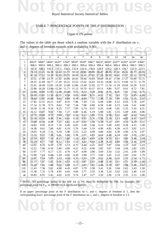### TABLE 7: PERCENTAGE POINTS OF THE F DISTRIBUTION<br>Upper 0.1% points TABLE 7: PERCENTAGE POINTS OF THE *F* DISTRIBUTION

#### Upper 0.1% points

The values in the table are those which a random variable with the  $F$  distribution on  $v_1$ and  $v_2$  degrees of freedom exceeds with probability 0.001.

| The values in the table are those which a failuon variable with the $\Gamma$ distribution on $V_1$<br>and $v_2$ degrees of freedom exceeds with probability 0.001. |       |                |       |          |                |             |          |             |       |                                                                                     |       |       |       |          |
|--------------------------------------------------------------------------------------------------------------------------------------------------------------------|-------|----------------|-------|----------|----------------|-------------|----------|-------------|-------|-------------------------------------------------------------------------------------|-------|-------|-------|----------|
|                                                                                                                                                                    |       |                |       |          |                |             |          |             |       |                                                                                     |       |       |       |          |
| $v_2$                                                                                                                                                              |       |                |       |          |                |             | $v_1$    |             |       |                                                                                     |       |       |       |          |
|                                                                                                                                                                    | 1     | $\overline{2}$ | 3     | 4        | $\overline{5}$ | 6           | 7        | 8           | 9     | 10                                                                                  | 12    | 18    | 24    | $\infty$ |
| $\mathbf{1}$                                                                                                                                                       |       |                |       |          |                |             |          |             |       | 4053* 5000* 5404* 5625* 5764* 5859* 5929* 5981* 6023* 6056* 6107* 6192* 6235* 6366* |       |       |       |          |
| $\overline{c}$                                                                                                                                                     | 998.5 | 999.0          | 999.2 | 999.3    | 999.3          | 999.3       | 999.4    | 999.4       | 999.4 | 999.4                                                                               | 999.4 | 999.4 | 999.5 | 999.5    |
| 3                                                                                                                                                                  | 167.0 | 148.5          | 141.1 | 137.1    |                | 134.6 132.8 | $-131.6$ | 130.6       | 129.9 | 129.2                                                                               | 128.3 | 126.7 | 125.9 | 123.5    |
| $\overline{4}$                                                                                                                                                     | 74.14 | 61.25          | 56.18 | 53.44    | 51.71          | 50.53       | 49.66    | 49.00       | 48.47 | 48.05                                                                               | 47.41 | 46.32 | 45.77 | 44.05    |
| 5                                                                                                                                                                  | 47.18 | 37.12          | 33.20 | 31.09    | 29.75          | 28.83       |          | 28.16 27.65 | 27.24 | 26.92                                                                               | 26.42 | 25.57 | 25.13 | 23.79    |
| 6                                                                                                                                                                  | 35.51 | 27.00          | 23.70 | 21.92    | 20.80          | 20.03       | 19.46    | 19.03       | 18.69 | 18.41                                                                               | 17.99 | 17.27 | 16.90 | 15.75    |
| $\overline{7}$                                                                                                                                                     | 29.25 | 21.69          | 18.77 | 17.20    | 16.21          | 15.52       | 15.02    | 14.63       | 14.33 | 14.08                                                                               | 13.71 | 13.06 | 12.73 | 11.70    |
| 8                                                                                                                                                                  | 25.41 | 18.49          | 15.83 | 14.39    | 13.48          | 12.86       | 12.40    | 12.05       | 11.77 | 11.54                                                                               | 11.19 | 10.60 | 10.30 | 9.33     |
| 9                                                                                                                                                                  | 22.86 | 16.39          | 13.90 | 12.56    | 11.71          | 11.13       | 10.70    | 10.37       | 10.11 | 9.89                                                                                | 9.57  | 9.01  | 8.72  | 7.81     |
| 10                                                                                                                                                                 | 21.04 | 14.91          | 12.55 | $-11.28$ | 10.48          | 9.93        | 9.52     | 9.20        | 8.96  | 8.75                                                                                | 8.45  | 7.91  | 7.64  | 6.76     |
| 11                                                                                                                                                                 | 19.69 | 13.81          | 11.56 | 10.35    | 9.58           | 9.05        | 8.66     | 8.35        | 8.12  | 7.92                                                                                | 7.63  | 7.11  | 6.85  | 6.00     |
| 12                                                                                                                                                                 |       | 18.64 12.97    | 10.80 | 9.63     | 8.89           | 8.38        | 8.00     | 7.71        | 7.48  | 7.29                                                                                | 7.00  | 6.51  | 6.25  | 5.42     |
| 13                                                                                                                                                                 | 17.82 | 12.31          | 10.21 | 9.07     | 8.35           | 7.86        | 7.49     | 7.21        | 6.98  | 6.80                                                                                | 6.52  | 6.03  | 5.78  | 4.97     |
| 14                                                                                                                                                                 | 17.14 | 11.78          | 9.73  | 8.62     | 7.92           | 7.44        | 7.08     | 6.80        | 6.58  | 6.40                                                                                | 6.13  | 5.66  | 5.41  | 4.60     |
| 15                                                                                                                                                                 | 16.59 | 11.34          | 9.34  | 8.25     | 7.57           | 7.09        | 6.74     | 6.47        | 6.26  | 6.08                                                                                | 5.81  | 5.35  | 5.10  | 4.31     |
| 16                                                                                                                                                                 | 16.12 | 10.97          | 9.01  | 7.94     | 7.27           | 6.80        | 6.46     | 6.19        | 5.98  | 5.81                                                                                | 5.55  | 5.09  | 4.85  | 4.06     |
| 17                                                                                                                                                                 | 15.72 | 10.66          | 8.73  | 7.68     | 7.02           | 6.56        | 6.22     | 5.96        | 5.75  | 5.58                                                                                | 5.32  | 4.87  | 4.63  | 3.85     |
| 18                                                                                                                                                                 | 15.38 | 10.39          | 8.49  | 7.46     | 6.81           | 6.35        | 6.02     | 5.76        | 5.56  | 5.39                                                                                | 5.13  | 4.68  | 4.45  | 3.67     |
| 19                                                                                                                                                                 | 15.08 | 10.16          | 8.28  | 7.27     | 6.62           | 6.18        | 5.85     | 5.59        | 5.39  | 5.22                                                                                | 4.97  | 4.52  | 4.29  | 3.51     |
| 20                                                                                                                                                                 | 14.82 | 9.95           | 8.10  | 7.10     | 6.46           | 6.02        | 5.69     | 5.44        | 5.24  | 5.08                                                                                | 4.82  | 4.38  | 4.15  | 3.38     |
| 22                                                                                                                                                                 | 14.38 | 9.61           | 7.80  | 6.81     | 6.19           | 5.76        | 5.44     | 5.19        | 4.99  | 4.83                                                                                | 4.58  | 4.15  | 3.92  | 3.15     |
| 24                                                                                                                                                                 | 14.03 | 9.34           | 7.55  | 6.59     | 5.98           | 5.55        | 5.23     | 4.99        | 4.80  | 4.64                                                                                | 4.39  | 3.96  | 3.74  | 2.97     |
| 26                                                                                                                                                                 | 13.74 | 9.12           | 7.36  | 6.41     | 5.80           | 5.38        | 5.07     | 4.83        | 4.64  | 4.48                                                                                | 4.24  | 3.81  | 3.59  | 2.82     |
| 28                                                                                                                                                                 | 13.50 | 8.93           | 7.19  | 6.25     | 5.66           | 5.24        | 4.93     | 4.69        | 4.50  | 4.35                                                                                | 4.11  | 3.69  | 3.46  | 2.69     |
| 30                                                                                                                                                                 | 13.29 | 8.77           | 7.05  | 6.12     | 5.53           | 5.12        | 4.82     | 4.58        | 4.39  | 4.24                                                                                | 4.00  | 3.58  | 3.36  | 2.59     |
| 40                                                                                                                                                                 | 12.61 | 8.25           | 6.59  | 5.70     | 5.13           | 4.73        | 4.44     | 4.21        | 4.02  | 3.87                                                                                | 3.64  | 3.23  | 3.01  | 2.23     |
| 50                                                                                                                                                                 | 12.22 | 7.96           | 6.34  | 5.46     | 4.90           | 4.51        | 4.22     | 4.00        | 3.82  | 3.67                                                                                | 3.44  | 3.04  | 2.82  | 2.03     |
| 60                                                                                                                                                                 | 11.97 | 7.77           | 6.17  | 5.31     | 4.76           | 4.37        | 4.09     | 3.86        | 3.69  | 3.54                                                                                | 3.32  | 2.91  | 2.69  | 1.89     |
| 70                                                                                                                                                                 | 11.80 | 7.64           | 6.06  | 5.20     | 4.66           | 4.28        | 3.99     | 3.77        | 3.60  | 3.45                                                                                | 3.23  | 2.83  | 2.61  | 1.79     |
| 80                                                                                                                                                                 | 11.67 | 7.54           | 5.97  | 5.12     | 4.58           | 4.20        | 3.92     | 3.70        | 3.53  | 3.39                                                                                | 3.16  | 2.76  | 2.54  | 1.72     |
| 90                                                                                                                                                                 | 11.57 | 7.47           | 5.91  | 5.06     | 4.53           | 4.15        | 3.87     | 3.65        | 3.48  | 3.34                                                                                | 3.11  | 2.71  | 2.50  | 1.66     |
| 100                                                                                                                                                                | 11.50 | 7.41           | 5.86  | 5.02     | 4.48           | 4.11        | 3.83     | 3.61        | 3.44  | 3.30                                                                                | 3.07  | 2.68  | 2.46  | 1.62     |
| 110                                                                                                                                                                | 11.43 | 7.36           | 5.82  | 4.98     | 4.45           | 4.07        | 3.79     | 3.58        | 3.41  | 3.26                                                                                | 3.04  | 2.65  | 2.43  | 1.58     |
| 120                                                                                                                                                                | 11.38 | 7.32           | 5.78  | 4.95     | 4.42           | 4.04        | 3.77     | 3.55        | 3.38  | 3.24                                                                                | 3.02  | 2.62  | 2.40  | 1.54     |
| $\infty$                                                                                                                                                           | 10.83 | 6.91           | 5.42  | 4.62     | 4.10           | 3.74        | 3.47     | 3.27        | 3.10  | 2.96                                                                                | 2.74  | 2.35  | 2.13  | 1.00     |

**NOTE:** All percentage points in the row for  $v_2 = 1$  must be multiplied by 100; for example, the percentage point for  $F_{8,1}$  is 598100 (to 4 significant figures). \* NOTE: All percentage points in the row for  $v_2 = 1$  must be multiplied by 100; for example, the percentage point for  $F_{8,1}$  is 598100 (to 4 significant figures).

If an *upper* percentage point of the F distribution on  $v_1$  and  $v_2$  degrees of freedom is f, then the corresponding *lower* percentage point of the *F* distribution on  $v_2$  and  $v_1$  degrees of freedom is  $1/f$ .

**Not for exam use**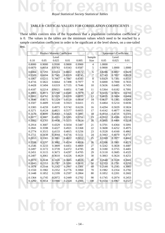#### TABLE 8: CRITICAL VALUES FOR CORRELATION COEFFICIENTS

**Not for the second and the second second and second and second and second and second and second and second and** TABLE 8: CRITICAL VALUES FOR CORRELATION COEFFICIENTS<br>These tables concern tests of the hypothesis that a population correlation coefficient  $\rho$ is 0. The values in the tables are the minimum values which need to be reached by a sample correlation coefficient in order to be significant at the level shown, on a one-tailed test.

|        |        | <b>Product Moment Coefficient</b> |          |        |                | Spearman's Coefficient |                |        |
|--------|--------|-----------------------------------|----------|--------|----------------|------------------------|----------------|--------|
|        |        | Level                             |          |        | Sample         |                        | Level          |        |
| 0.10   | 0.05   | 0.025                             | $0.01\,$ | 0.005  | Size           | 0.05                   | 0.025          | 0.01   |
| 0.8000 | 0.9000 | 0.9500                            | 0.9800   | 0.9900 | $\overline{4}$ | 1.0000                 | $\overline{a}$ |        |
| 0.6870 | 0.8054 | 0.8783                            | 0.9343   | 0.9587 | 5              | 0.9000                 | 1.0000         | 1.0000 |
| 0.6084 | 0.7293 | 0.8114                            | 0.8822   | 0.9172 | 6              | 0.8286                 | 0.8857         | 0.9429 |
| 0.5509 | 0.6694 | 0.7545                            | 0.8329   | 0.8745 | $\overline{7}$ | 0.7143                 | 0.7857         | 0.8929 |
| 0.5067 | 0.6215 | 0.7067                            | 0.7887   | 0.8343 | 8              | 0.6429                 | 0.7381         | 0.8333 |
| 0.4716 | 0.5822 | 0.6664                            | 0.7498   | 0.7977 | 9              | 0.6000                 | 0.7000         | 0.7833 |
| 0.4428 | 0.5494 | 0.6319                            | 0.7155   | 0.7646 | 10             | 0.5636                 | 0.6485         | 0.7455 |
| 0.4187 | 0.5214 | 0.6021                            | 0.6851   | 0.7348 | 11             | 0.5364                 | 0.6182         | 0.7091 |
| 0.3981 | 0.4973 | 0.5760                            | 0.6581   | 0.7079 | 12             | 0.5035                 | 0.5874         | 0.6783 |
| 0.3802 | 0.4762 | 0.5529                            | 0.6339   | 0.6835 | 13             | 0.4835                 | 0.5604         | 0.6484 |
| 0.3646 | 0.4575 | 0.5324                            | 0.6120   | 0.6614 | 14             | 0.4637                 | 0.5385         | 0.6264 |
| 0.3507 | 0.4409 | 0.5140                            | 0.5923   | 0.6411 | 15             | 0.4464                 | 0.5214         | 0.6036 |
| 0.3383 | 0.4259 | 0.4973                            | 0.5742   | 0.6226 | 16             | 0.4294                 | 0.5029         | 0.5824 |
| 0.3271 | 0.4124 | 0.4821                            | 0.5577   | 0.6055 | 17             | 0.4142                 | 0.4877         | 0.5662 |
| 0.3170 | 0.4000 | 0.4683                            | 0.5425   | 0.5897 | 18             | 0.4014                 | 0.4716         | 0.5501 |
| 0.3077 | 0.3887 | 0.4555                            | 0.5285   | 0.5751 | 19             | 0.3912                 | 0.4596         | 0.5351 |
| 0.2992 | 0.3783 | 0.4438                            | 0.5155   | 0.5614 | 20             | 0.3805                 | 0.4466         | 0.5218 |
| 0.2914 | 0.3687 | 0.4329                            | 0.5034   | 0.5487 | 21             | 0.3701                 | 0.4364         | 0.5091 |
| 0.2841 | 0.3598 | 0.4227                            | 0.4921   | 0.5368 | 22             | 0.3608                 | 0.4252         | 0.4975 |
| 0.2774 | 0.3515 | 0.4133                            | 0.4815   | 0.5256 | 23             | 0.3528                 | 0.4160         | 0.4862 |
| 0.2711 | 0.3438 | 0.4044                            | 0.4716   | 0.5151 | 24             | 0.3443                 | 0.4070         | 0.4757 |
| 0.2653 | 0.3365 | 0.3961                            | 0.4622   | 0.5052 | 25             | 0.3369                 | 0.3977         | 0.4662 |
| 0.2598 | 0.3297 | 0.3882                            | 0.4534   | 0.4958 | 26             | 0.3306                 | 0.3901         | 0.4571 |
| 0.2546 | 0.3233 | 0.3809                            | 0.4451   | 0.4869 | 27             | 0.3242                 | 0.3828         | 0.4487 |
| 0.2497 | 0.3172 | 0.3739                            | 0.4372   | 0.4785 | 28             | 0.3180                 | 0.3755         | 0.4401 |
| 0.2451 | 0.3115 | 0.3673                            | 0.4297   | 0.4705 | 29             | 0.3118                 | 0.3685         | 0.4325 |
| 0.2407 | 0.3061 | 0.3610                            | 0.4226   | 0.4629 | 30             | 0.3063                 | 0.3624         | 0.4251 |
| 0.2070 | 0.2638 | 0.3120                            | 0.3665   | 0.4026 | 40             | 0.2640                 | 0.3128         | 0.3681 |
| 0.1843 | 0.2353 | 0.2787                            | 0.3281   | 0.3610 | 50             | 0.2353                 | 0.2791         | 0.3293 |
| 0.1678 | 0.2144 | 0.2542                            | 0.2997   | 0.3301 | 60             | 0.2144                 | 0.2545         | 0.3005 |
| 0.1550 | 0.1982 | 0.2352                            | 0.2776   | 0.3060 | 70             | 0.1982                 | 0.2354         | 0.2782 |
| 0.1448 | 0.1852 | 0.2199                            | 0.2597   | 0.2864 | 80             | 0.1852                 | 0.2201         | 0.2602 |
| 0.1364 | 0.1745 | 0.2072                            | 0.2449   | 0.2702 | 90             | 0.1745                 | 0.2074         | 0.2453 |
| 0.1292 | 0.1654 | 0.1966                            | 0.2324   | 0.2565 | 100            | 0.1654                 | 0.1967         | 0.2327 |
|        |        |                                   |          |        |                |                        |                |        |
|        |        |                                   |          |        |                |                        |                |        |

**Not for exam u**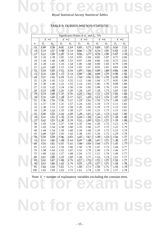#### TABLE 9: DURBIN-WATSON STATISTIC

|                                                                                               |       |       |                   |       | <b>TABLE 9: DURBIN-WATSON STATISTIC</b> |       |       |       |                   |                   |
|-----------------------------------------------------------------------------------------------|-------|-------|-------------------|-------|-----------------------------------------|-------|-------|-------|-------------------|-------------------|
|                                                                                               |       |       |                   |       |                                         |       |       |       |                   |                   |
| Significance Points of $d_L$ and $d_U$ : 5%<br>$k'=2$<br>$k'=3$<br>$k'=5$<br>$k'=1$<br>$k'=4$ |       |       |                   |       |                                         |       |       |       |                   |                   |
| $\boldsymbol{n}$                                                                              | $d_L$ | $d_U$ | $d_{\mathcal{L}}$ | $d_U$ | $d_L$                                   | $d_U$ | $d_L$ | $d_U$ | $d_{\mathcal{L}}$ | $d_U$             |
| 15                                                                                            | 1.08  | 1.36  | 0.95              | 1.54  | 0.82                                    | 1.75  | 0.69  | 1.97  | 0.56              | $2.\overline{21}$ |
| 16                                                                                            | 1.10  | 1.37  | 0.98              | 1.54  | 0.86                                    | 1.73  | 0.74  | 1.93  | 0.62              | 2.15              |
| 17                                                                                            | 1.13  | 1.38  | 1.02              | 1.54  | 0.90                                    | 1.71  | 0.78  | 1.90  | 0.67              | 2.10              |
| 18                                                                                            | 1.16  | 1.39  | 1.05              | 1.53  | 0.93                                    | 1.69  | 0.82  | 1.87  | 0.71              | 2.06              |
| 19                                                                                            | 1.18  | 1.40  | 1.08              | 1.53  | 0.97                                    | 1.68  | 0.86  | 1.85  | 0.75              | 2.02              |
| 20                                                                                            | 1.20  | 1.41  | 1.10              | 1.54  | 1.00                                    | 1.68  | 0.90  | 1.83  | 0.79              | 1.99              |
| 21                                                                                            | 1.22  | 1.42  | 1.13              | 1.54  | 1.03                                    | 1.67  | 0.93  | 1.81  | 0.83              | 1.96              |
| 22                                                                                            | 1.24  | 1.43  | 1.15              | 1.54  | 1.05                                    | 1.66  | 0.96  | 1.80  | 0.86              | 1.94              |
| 23                                                                                            | 1.26  | 1.44  | 1.17              | 1.54  | 1.08                                    | 1.66  | 0.99  | 1.79  | 0.90              | 1.92              |
| 24                                                                                            | 1.27  | 1.45  | 1.19              | 1.55  | 1.10                                    | 1.66  | 1.01  | 1.78  | 0.93              | 1.90              |
| 25                                                                                            | 1.29  | 1.45  | 1.21              | 1.55  | 1.12                                    | 1.66  | 1.04  | 1.77  | 0.95              | 1.89              |
| 26                                                                                            | 1.30  | 1.46  | 1.22              | 1.55  | 1.14                                    | 1.65  | 1.06  | 1.76  | 0.98              | 1.88              |
| 27                                                                                            | 1.32  | 1.47  | 1.24              | 1.56  | 1.16                                    | 1.65  | 1.08  | 1.76  | 1.01              | 1.86              |
| 28                                                                                            | 1.33  | 1.48  | 1.26              | 1.56  | 1.18                                    | 1.65  | 1.10  | 1.75  | 1.03              | 1.85              |
| 29                                                                                            | 1.34  | 1.48  | 1.27              | 1.56  | 1.20                                    | 1.65  | 1.12  | 1.74  | 1.05              | 1.84              |
| 30                                                                                            | 1.35  | 1.49  | 1.28              | 1.57  | 1.21                                    | 1.65  | 1.14  | 1.74  | 1.07              | 1.83              |
| 31                                                                                            | 1.36  | 1.50  | 1.30              | 1.57  | 1.23                                    | 1.65  | 1.16  | 1.74  | 1.09              | 1.83              |
| 32                                                                                            | 1.37  | 1.50  | 1.31              | 1.57  | 1.24                                    | 1.65  | 1.18  | 1.73  | 1.11              | 1.82              |
| 33                                                                                            | 1.38  | 1.51  | 1.32              | 1.58  | 1.26                                    | 1.65  | 1.19  | 1.73  | 1.13              | 1.81              |
| 34                                                                                            | 1.39  | 1.51  | 1.33              | 1.58  | 1.27                                    | 1.65  | 1.21  | 1.73  | 1.15              | 1.81              |
| 35                                                                                            | 1.40  | 1.52  | 1.34              | 1.58  | 1.28                                    | 1.65  | 1.22  | 1.73  | 1.16              | 1.80              |
| 36                                                                                            | 1.41  | 1.52  | 1.35              | 1.59  | 1.29                                    | 1.65  | 1.24  | 1.73  | 1.18              | 1.80              |
| 37                                                                                            | 1.42  | 1.53  | 1.36              | 1.59  | 1.31                                    | 1.66  | 1.25  | 1.72  | 1.19              | 1.80              |
| 38                                                                                            | 1.43  | 1.54  | 1.37              | 1.59  | 1.32                                    | 1.66  | 1.26  | 1.72  | 1.21              | 1.79              |
| 39                                                                                            | 1.43  | 1.54  | 1.38              | 1.60  | 1.33                                    | 1.66  | 1.27  | 1.72  | 1.22              | 1.79              |
| 40                                                                                            | 1.44  | 1.54  | 1.39              | 1.60  | 1.34                                    | 1.66  | 1.29  | 1.72  | 1.23              | 1.79              |
| 45                                                                                            | 1.48  | 1.57  | 1.43              | 1.62  | 1.38                                    | 1.67  | 1.34  | 1.72  | 1.29              | 1.78              |
| 50                                                                                            | 1.50  | 1.59  | 1.46              | 1.63  | 1.42                                    | 1.67  | 1.38  | 1.72  | 1.34              | 1.77              |
| 55                                                                                            | 1.53  | 1.60  | 1.49              | 1.64  | 1.45                                    | 1.68  | 1.41  | 1.72  | 1.38              | 1.77              |
| 60                                                                                            | 1.55  | 1.62  | 1.51              | 1.65  | 1.48                                    | 1.69  | 1.44  | 1.73  | 1.41              | 1.77              |
| 65                                                                                            | 1.57  | 1.63  | 1.54              | 1.66  | 1.50                                    | 1.70  | 1.47  | 1.73  | 1.44              | 1.77              |
| 70                                                                                            | 1.58  | 1.64  | 1.55              | 1.67  | 1.52                                    | 1.70  | 1.49  | 1.74  | 1.46              | 1.77              |
| 75                                                                                            | 1.60  | 1.65  | 1.57              | 1.68  | 1.54                                    | 1.71  | 1.51  | 1.74  | 1.49              | 1.77              |
| 80                                                                                            | 1.61  | 1.66  | 1.59              | 1.69  | 1.56                                    | 1.72  | 1.53  | 1.74  | 1.51              | 1.77              |
| 85                                                                                            | 1.62  | 1.67  | 1.60              | 1.70  | 1.57                                    | 1.72  | 1.55  | 1.75  | 1.52              | 1.77              |
| 90                                                                                            | 1.63  | 1.68  | 1.61              | 1.70  | 1.59                                    | 1.73  | 1.57  | 1.75  | 1.54              | 1.78              |
| 95                                                                                            | 1.64  | 1.69  | 1.62              | 1.71  | 1.60                                    | 1.73  | 1.58  | 1.75  | 1.56              | 1.78              |
| 100                                                                                           | 1.65  | 1.69  | 1.63              | 1.72  | 1.61                                    | 1.74  | 1.59  | 1.76  | 1.57              | 1.78              |

Note: *k'* = number of explanatory variables excluding the constant term.

- 15 -

**Not for exam use**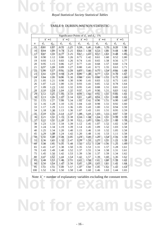#### TABLE 9: DURBIN-WATSON STATISTIC

|                                                                                               |       |       |                   |       |       |       | <b>TABLE 9: DURBIN-WATSON STATISTIC</b> |       |       |       |
|-----------------------------------------------------------------------------------------------|-------|-------|-------------------|-------|-------|-------|-----------------------------------------|-------|-------|-------|
|                                                                                               |       |       |                   |       |       |       |                                         |       |       |       |
| Significance Points of $d_L$ and $d_U$ : 1%<br>$k'=2$<br>$k'=3$<br>$k'=5$<br>$k'=1$<br>$k'=4$ |       |       |                   |       |       |       |                                         |       |       |       |
| $\boldsymbol{n}$                                                                              | $d_L$ | $d_U$ | $d_{\mathcal{L}}$ | $d_U$ | $d_L$ | $d_U$ | $d_L$                                   | $d_U$ | $d_L$ | $d_U$ |
| 15                                                                                            | 0.81  | 1.07  | 0.70              | 1.25  | 0.59  | 1.46  | 0.49                                    | 1.70  | 0.39  | 1.96  |
| 16                                                                                            | 0.84  | 1.09  | 0.74              | 1.25  | 0.63  | 1.44  | 0.53                                    | 1.66  | 0.44  | 1.90  |
| 17                                                                                            | 0.87  | 1.10  | 0.77              | 1.25  | 0.67  | 1.43  | 0.57                                    | 1.63  | 0.48  | 1.85  |
| 18                                                                                            | 0.90  | 1.12  | 0.80              | 1.26  | 0.71  | 1.42  | 0.61                                    | 1.60  | 0.52  | 1.80  |
| 19                                                                                            | 0.93  | 1.13  | 0.83              | 1.26  | 0.74  | 1.41  | 0.65                                    | 1.58  | 0.56  | 1.77  |
| 20                                                                                            | 0.95  | 1.15  | 0.86              | 1.27  | 0.77  | 1.41  | 0.68                                    | 1.57  | 0.60  | 1.74  |
| 21                                                                                            | 0.97  | 1.16  | 0.89              | 1.27  | 0.80  | 1.41  | 0.72                                    | 1.55  | 0.63  | 1.71  |
| 22                                                                                            | 1.00  | 1.17  | 0.91              | 1.28  | 0.83  | 1.40  | 0.75                                    | 1.54  | 0.66  | 1.69  |
| 23                                                                                            | 1.02  | 1.19  | 0.94              | 1.29  | 0.86  | 1.40  | 0.77                                    | 1.53  | 0.70  | 1.67  |
| 24                                                                                            | 1.04  | 1.20  | 0.96              | 1.30  | 0.88  | 1.41  | 0.80                                    | 1.53  | 0.72  | 1.66  |
| 25                                                                                            | 1.05  | 1.21  | 0.98              | 1.30  | 0.90  | 1.41  | 0.83                                    | 1.52  | 0.75  | 1.65  |
| 26                                                                                            | 1.07  | 1.22  | 1.00              | 1.31  | 0.93  | 1.41  | 0.85                                    | 1.52  | 0.78  | 1.64  |
| 27                                                                                            | 1.09  | 1.23  | 1.02              | 1.32  | 0.95  | 1.41  | 0.88                                    | 1.51  | 0.81  | 1.63  |
| 28                                                                                            | 1.10  | 1.24  | 1.04              | 1.32  | 0.97  | 1.41  | 0.90                                    | 1.51  | 0.83  | 1.62  |
| 29                                                                                            | 1.12  | 1.25  | 1.05              | 1.33  | 0.99  | 1.42  | 0.92                                    | 1.51  | 0.85  | 1.61  |
| 30                                                                                            | 1.13  | 1.26  | 1.07              | 1.34  | 1.01  | 1.42  | 0.94                                    | 1.51  | 0.88  | 1.61  |
| 31                                                                                            | 1.15  | 1.27  | 1.08              | 1.34  | 1.02  | 1.42  | 0.96                                    | 1.51  | 0.90  | 1.60  |
| 32                                                                                            | 1.16  | 1.28  | 1.10              | 1.35  | 1.04  | 1.43  | 0.98                                    | 1.51  | 0.92  | 1.60  |
| 33                                                                                            | 1.17  | 1.29  | 1.11              | 1.36  | 1.05  | 1.43  | 1.00                                    | 1.51  | 0.94  | 1.59  |
| 34                                                                                            | 1.18  | 1.30  | 1.13              | 1.36  | 1.07  | 1.43  | 1.01                                    | 1.51  | 0.95  | 1.59  |
| 35                                                                                            | 1.19  | 1.31  | 1.14              | 1.37  | 1.08  | 1.44  | 1.03                                    | 1.51  | 0.97  | 1.59  |
| 36                                                                                            | 1.21  | 1.32  | 1.15              | 1.38  | 1.10  | 1.44  | 1.04                                    | 1.51  | 0.99  | 1.59  |
| 37                                                                                            | 1.22  | 1.32  | 1.16              | 1.38  | 1.11  | 1.45  | 1.06                                    | 1.51  | 1.00  | 1.59  |
| 38                                                                                            | 1.23  | 1.33  | 1.18              | 1.39  | 1.12  | 1.45  | 1.07                                    | 1.52  | 1.02  | 1.58  |
| 39                                                                                            | 1.24  | 1.34  | 1.19              | 1.39  | 1.14  | 1.45  | 1.09                                    | 1.52  | 1.03  | 1.58  |
| 40                                                                                            | 1.25  | 1.34  | 1.20              | 1.40  | 1.15  | 1.46  | 1.10                                    | 1.52  | 1.05  | 1.58  |
| 45                                                                                            | 1.29  | 1.38  | 1.24              | 1.42  | 1.20  | 1.48  | 1.16                                    | 1.53  | 1.11  | 1.58  |
| 50                                                                                            | 1.32  | 1.40  | 1.28              | 1.45  | 1.24  | 1.49  | 1.20                                    | 1.54  | 1.16  | 1.59  |
| 55                                                                                            | 1.36  | 1.43  | 1.32              | 1.47  | 1.28  | 1.51  | 1.25                                    | 1.55  | 1.21  | 1.59  |
| 60                                                                                            | 1.38  | 1.45  | 1.35              | 1.48  | 1.32  | 1.52  | 1.28                                    | 1.56  | 1.25  | 1.60  |
| 65                                                                                            | 1.41  | 1.47  | 1.38              | 1.50  | 1.35  | 1.53  | 1.31                                    | 1.57  | 1.28  | 1.61  |
| 70                                                                                            | 1.43  | 1.49  | 1.40              | 1.52  | 1.37  | 1.55  | 1.34                                    | 1.58  | 1.31  | 1.61  |
| 75                                                                                            | 1.45  | 1.50  | 1.42              | 1.53  | 1.39  | 1.56  | 1.37                                    | 1.59  | 1.34  | 1.62  |
| 80                                                                                            | 1.47  | 1.52  | 1.44              | 1.54  | 1.42  | 1.57  | 1.39                                    | 1.60  | 1.36  | 1.62  |
| 85                                                                                            | 1.48  | 1.53  | 1.46              | 1.55  | 1.43  | 1.58  | 1.41                                    | 1.60  | 1.39  | 1.63  |
| 90                                                                                            | 1.50  | 1.54  | 1.47              | 1.56  | 1.45  | 1.59  | 1.43                                    | 1.61  | 1.41  | 1.64  |
| 95                                                                                            | 1.51  | 1.55  | 1.49              | 1.57  | 1.47  | 1.60  | 1.45                                    | 1.62  | 1.42  | 1.64  |
| 100                                                                                           | 1.52  | 1.56  | 1.50              | 1.58  | 1.48  | 1.60  | 1.46                                    | 1.63  | 1.44  | 1.65  |

Note: *k'* = number of explanatory variables excluding the constant term.

**Not for exam use**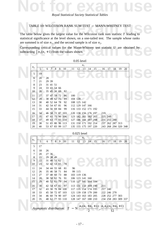

#### TABLE 10: WILCOXON RANK SUM TEST – MANN-WHITNEY TEST

TABLE 10: WILCOXON RANK SUM TEST – MANN-WHITNEY TEST<br>The table below gives the largest value for the Wilcoxon rank sum statistic  $T$  leading to The table below gives the largest value for the Wilcoxon rank sum statistic  $T$  leading to statistical significance at the level shown, on a one-tailed test. The sample whose ranks are summed is of size  $n_1$ , and the second sample is of size  $n_2$ .

are summed is of size  $n_1$ , and the second sample is of size  $n_2$ .<br>Corresponding critical values for the Mann-Whitney test statistic U are obtained by subtracting  $\frac{1}{2} n_1(n_1 + 1)$  from the values shown. Corresponding critical values for the Mann-Whitney test statistic *U* are obtained by subtracting  $\frac{1}{2} n_1(n_1 + 1)$  from the values shown.

 $0.05$ 

|                |                 |    |                |                            |   |                                    |                                                                                                          | 0.05 level  |                                            |    |    |     |                                |    |    |    |  |  |
|----------------|-----------------|----|----------------|----------------------------|---|------------------------------------|----------------------------------------------------------------------------------------------------------|-------------|--------------------------------------------|----|----|-----|--------------------------------|----|----|----|--|--|
|                |                 |    |                |                            |   |                                    |                                                                                                          |             | $n_1$                                      |    |    |     |                                |    |    |    |  |  |
| n <sub>2</sub> | 5               | 6  | $\overline{7}$ | $\overline{\mathbf{8}}$    | 9 | 10                                 | 11                                                                                                       | 12          | 13                                         | 14 | 15 | 16  | $-17$                          | 18 | 19 | 20 |  |  |
| 5              | 19              |    |                |                            |   |                                    |                                                                                                          |             |                                            |    |    |     |                                |    |    |    |  |  |
| 6              | 20              | 28 |                |                            |   |                                    |                                                                                                          |             |                                            |    |    |     |                                |    |    |    |  |  |
| 7              | 21              |    | 29 39          |                            |   |                                    |                                                                                                          |             |                                            |    |    |     |                                |    |    |    |  |  |
| 8              | 23              |    | 31 41 51       |                            |   |                                    |                                                                                                          |             |                                            |    |    |     |                                |    |    |    |  |  |
| 9              | 24              |    |                | 33 43 54 66                |   |                                    |                                                                                                          |             |                                            |    |    |     |                                |    |    |    |  |  |
| 10             | 26              |    |                | 35 45 56 69                |   | 82                                 |                                                                                                          |             |                                            |    |    |     |                                |    |    |    |  |  |
| 11             | 27              |    |                | 37 47 59 72                |   | 86                                 | 100                                                                                                      |             |                                            |    |    |     |                                |    |    |    |  |  |
| 12             | 28              |    |                | 38 49 62 75                |   | 89                                 |                                                                                                          | 104 120     |                                            |    |    |     |                                |    |    |    |  |  |
| 13             | 30              |    |                | 40 52 64 78                |   | 92                                 |                                                                                                          | 108 125 142 |                                            |    |    |     |                                |    |    |    |  |  |
| 14             | 31              |    |                | 42 54 67 81                |   | 96                                 |                                                                                                          |             | 112 129 147 166                            |    |    |     |                                |    |    |    |  |  |
| 15             | 33              |    |                | 44 56 69 84                |   | 99                                 |                                                                                                          |             | 116 133 152 171 192                        |    |    |     |                                |    |    |    |  |  |
| 16             | 34              |    |                |                            |   | 46 58 72 87 103                    |                                                                                                          |             | 120 138 156 176 197                        |    |    | 219 |                                |    |    |    |  |  |
| 17             | 35              |    |                |                            |   | 47 61 75 90 106                    |                                                                                                          |             | 123 142 161 182 203                        |    |    |     | 225 249                        |    |    |    |  |  |
| 18             | 37              |    |                |                            |   | 49 63 77 93 110                    |                                                                                                          |             | 127 146 166 187 208                        |    |    |     | 231 255 280                    |    |    |    |  |  |
| 19             | 38              |    |                |                            |   | 51 65 80 96 113                    |                                                                                                          |             | 131 150 171 192 214                        |    |    |     | 237 262 287 313                |    |    |    |  |  |
| 20             | 40              |    |                |                            |   | 53 67 83 99 117                    |                                                                                                          |             | 135 155 175 197 220                        |    |    |     | 243 268 294 320 348            |    |    |    |  |  |
|                |                 |    |                |                            |   |                                    |                                                                                                          |             | $0.025$ level                              |    |    |     |                                |    |    |    |  |  |
|                |                 |    |                |                            |   |                                    |                                                                                                          |             |                                            |    |    |     |                                |    |    |    |  |  |
| n <sub>2</sub> | $\overline{5}$  | 6  | 7 <sup>1</sup> | 8                          | 9 | 10                                 | 11                                                                                                       | 12          | $n_1$<br>13                                | 14 | 15 | 16  | 17                             | 18 | 19 | 20 |  |  |
|                |                 |    |                |                            |   |                                    |                                                                                                          |             |                                            |    |    |     |                                |    |    |    |  |  |
| 5              | 17              |    |                |                            |   |                                    |                                                                                                          |             |                                            |    |    |     |                                |    |    |    |  |  |
| 6              | 18              | 26 |                |                            |   |                                    |                                                                                                          |             |                                            |    |    |     |                                |    |    |    |  |  |
| 7              | 20              |    | 27 36          |                            |   |                                    |                                                                                                          |             |                                            |    |    |     |                                |    |    |    |  |  |
| 8              | 21              |    | 29 38 49       |                            |   |                                    |                                                                                                          |             |                                            |    |    |     |                                |    |    |    |  |  |
| 9              | 22              |    |                | 31 40 51 62                |   |                                    |                                                                                                          |             |                                            |    |    |     |                                |    |    |    |  |  |
| 10             | 23              |    |                | 32 42 53 65                |   | 78                                 |                                                                                                          |             |                                            |    |    |     |                                |    |    |    |  |  |
| 11             | 24              |    |                | 34 44 55 68                |   | 81                                 | 96                                                                                                       |             |                                            |    |    |     |                                |    |    |    |  |  |
| 12             | 26              |    |                | 35 46 58 71                |   | 84                                 |                                                                                                          | 99 115      |                                            |    |    |     |                                |    |    |    |  |  |
| 13             | 27              |    |                | 37 48 60 73<br>38 50 62 76 |   | 88                                 |                                                                                                          | 103 119 136 | 106 123 141 160                            |    |    |     |                                |    |    |    |  |  |
| 14<br>15       | 28<br>29        |    |                | 40 52 65 79                |   | 91<br>94                           |                                                                                                          |             | 110 127 145 164 184                        |    |    |     |                                |    |    |    |  |  |
|                |                 |    |                |                            |   |                                    |                                                                                                          |             |                                            |    |    |     |                                |    |    |    |  |  |
| 16             | 30              |    |                |                            |   | 42 54 67 82 97                     |                                                                                                          |             | 113 131 150 169 190                        |    |    | 211 |                                |    |    |    |  |  |
| 17             | 32              |    |                |                            |   | 43 56 70 84 100                    |                                                                                                          |             | 117 135 154 174 195                        |    |    |     | 217 240                        |    |    |    |  |  |
| 18<br>19       | 33<br>34        |    |                |                            |   | 45 58 72 87 103<br>46 60 74 90 107 |                                                                                                          |             | 121 139 158 179 200<br>124 143 163 183 205 |    |    |     | 222 246 270<br>228 252 277 303 |    |    |    |  |  |
| 20             | 35 <sub>2</sub> |    |                |                            |   | 48 62 77 93 110                    |                                                                                                          |             | 128 147 167 188 210                        |    |    |     | 234 258 283 309 337            |    |    |    |  |  |
|                |                 |    |                |                            |   |                                    |                                                                                                          |             |                                            |    |    |     |                                |    |    |    |  |  |
|                |                 |    |                |                            |   |                                    |                                                                                                          |             |                                            |    |    |     |                                |    |    |    |  |  |
|                |                 |    |                |                            |   |                                    | Asymptotic distribution: $T \sim N\left(\frac{n_1(n_1+n_2+1)}{2}, \frac{n_1n_2(n_1+n_2+1)}{12}\right)$ . |             |                                            |    |    |     |                                |    |    |    |  |  |
|                |                 |    |                |                            |   |                                    |                                                                                                          |             |                                            |    |    |     |                                |    |    |    |  |  |
|                |                 |    |                |                            |   |                                    |                                                                                                          |             |                                            |    |    |     |                                |    |    |    |  |  |